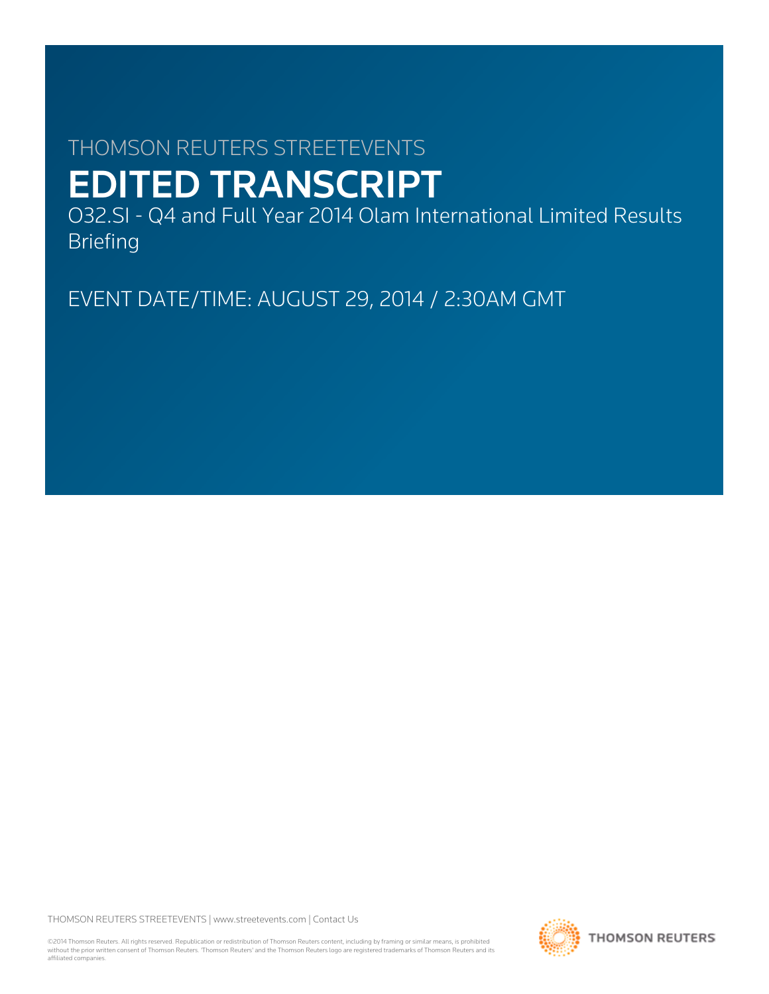# THOMSON REUTERS STREETEVENTS EDITED TRANSCRIPT

O32.SI - Q4 and Full Year 2014 Olam International Limited Results Briefing

EVENT DATE/TIME: AUGUST 29, 2014 / 2:30AM GMT

THOMSON REUTERS STREETEVENTS | [www.streetevents.com](http://www.streetevents.com) | [Contact Us](http://www010.streetevents.com/contact.asp)

©2014 Thomson Reuters. All rights reserved. Republication or redistribution of Thomson Reuters content, including by framing or similar means, is prohibited without the prior written consent of Thomson Reuters. 'Thomson Reuters' and the Thomson Reuters logo are registered trademarks of Thomson Reuters and its affiliated companies.

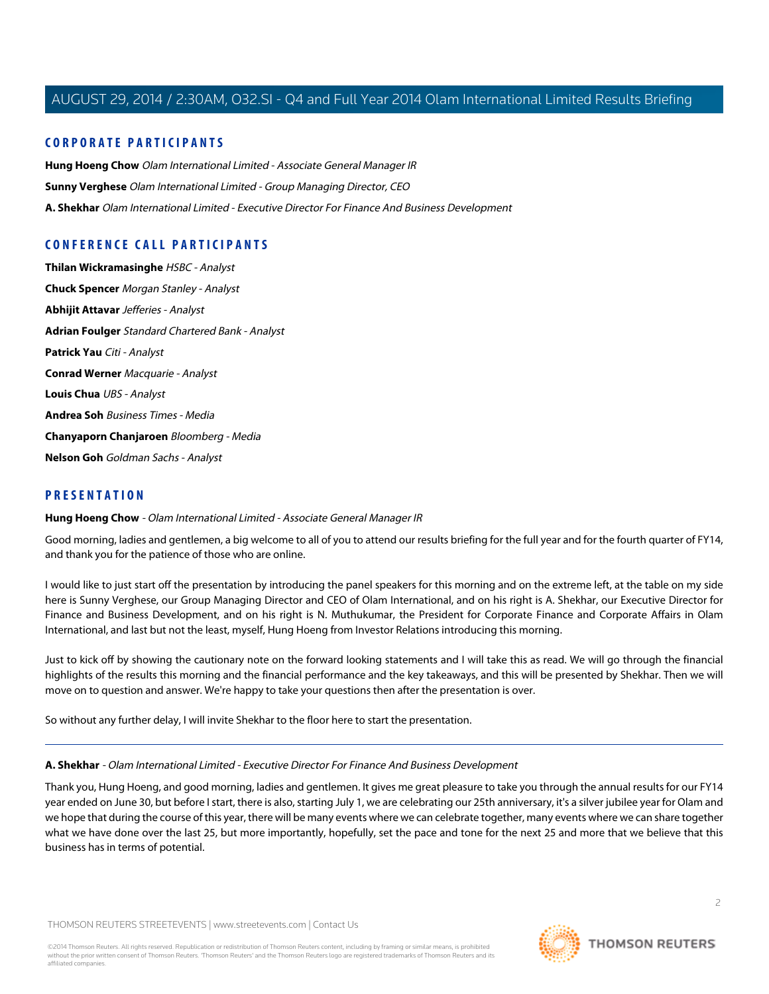# **CORPORATE PARTICIPANTS**

**[Hung Hoeng Chow](#page-1-0)** Olam International Limited - Associate General Manager IR **[Sunny Verghese](#page-9-0)** Olam International Limited - Group Managing Director, CEO **[A. Shekhar](#page-1-1)** Olam International Limited - Executive Director For Finance And Business Development

# **CONFERENCE CALL PARTICIPANTS**

**[Thilan Wickramasinghe](#page-9-1)** HSBC - Analyst **[Chuck Spencer](#page-12-0)** Morgan Stanley - Analyst **[Abhijit Attavar](#page-14-0)** Jefferies - Analyst **[Adrian Foulger](#page-16-0)** Standard Chartered Bank - Analyst **[Patrick Yau](#page-18-0)** Citi - Analyst **[Conrad Werner](#page-24-0)** Macquarie - Analyst **Louis Chua** UBS - Analyst **[Andrea Soh](#page-20-0)** Business Times - Media **[Chanyaporn Chanjaroen](#page-11-0)** Bloomberg - Media **[Nelson Goh](#page-22-0)** Goldman Sachs - Analyst

# <span id="page-1-0"></span>**PRESENTATION**

**Hung Hoeng Chow** - Olam International Limited - Associate General Manager IR

Good morning, ladies and gentlemen, a big welcome to all of you to attend our results briefing for the full year and for the fourth quarter of FY14, and thank you for the patience of those who are online.

I would like to just start off the presentation by introducing the panel speakers for this morning and on the extreme left, at the table on my side here is Sunny Verghese, our Group Managing Director and CEO of Olam International, and on his right is A. Shekhar, our Executive Director for Finance and Business Development, and on his right is N. Muthukumar, the President for Corporate Finance and Corporate Affairs in Olam International, and last but not the least, myself, Hung Hoeng from Investor Relations introducing this morning.

<span id="page-1-1"></span>Just to kick off by showing the cautionary note on the forward looking statements and I will take this as read. We will go through the financial highlights of the results this morning and the financial performance and the key takeaways, and this will be presented by Shekhar. Then we will move on to question and answer. We're happy to take your questions then after the presentation is over.

So without any further delay, I will invite Shekhar to the floor here to start the presentation.

**A. Shekhar** - Olam International Limited - Executive Director For Finance And Business Development

Thank you, Hung Hoeng, and good morning, ladies and gentlemen. It gives me great pleasure to take you through the annual results for our FY14 year ended on June 30, but before I start, there is also, starting July 1, we are celebrating our 25th anniversary, it's a silver jubilee year for Olam and we hope that during the course of this year, there will be many events where we can celebrate together, many events where we can share together what we have done over the last 25, but more importantly, hopefully, set the pace and tone for the next 25 and more that we believe that this business has in terms of potential.

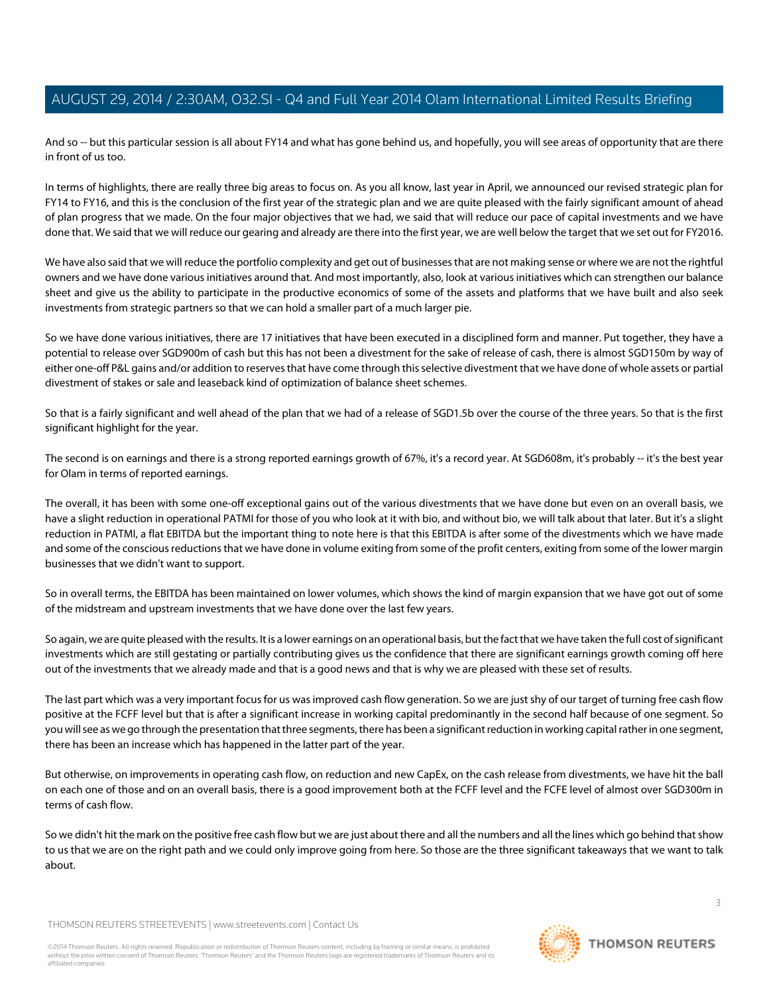And so -- but this particular session is all about FY14 and what has gone behind us, and hopefully, you will see areas of opportunity that are there in front of us too.

In terms of highlights, there are really three big areas to focus on. As you all know, last year in April, we announced our revised strategic plan for FY14 to FY16, and this is the conclusion of the first year of the strategic plan and we are quite pleased with the fairly significant amount of ahead of plan progress that we made. On the four major objectives that we had, we said that will reduce our pace of capital investments and we have done that. We said that we will reduce our gearing and already are there into the first year, we are well below the target that we set out for FY2016.

We have also said that we will reduce the portfolio complexity and get out of businesses that are not making sense or where we are not the rightful owners and we have done various initiatives around that. And most importantly, also, look at various initiatives which can strengthen our balance sheet and give us the ability to participate in the productive economics of some of the assets and platforms that we have built and also seek investments from strategic partners so that we can hold a smaller part of a much larger pie.

So we have done various initiatives, there are 17 initiatives that have been executed in a disciplined form and manner. Put together, they have a potential to release over SGD900m of cash but this has not been a divestment for the sake of release of cash, there is almost SGD150m by way of either one-off P&L gains and/or addition to reserves that have come through this selective divestment that we have done of whole assets or partial divestment of stakes or sale and leaseback kind of optimization of balance sheet schemes.

So that is a fairly significant and well ahead of the plan that we had of a release of SGD1.5b over the course of the three years. So that is the first significant highlight for the year.

The second is on earnings and there is a strong reported earnings growth of 67%, it's a record year. At SGD608m, it's probably -- it's the best year for Olam in terms of reported earnings.

The overall, it has been with some one-off exceptional gains out of the various divestments that we have done but even on an overall basis, we have a slight reduction in operational PATMI for those of you who look at it with bio, and without bio, we will talk about that later. But it's a slight reduction in PATMI, a flat EBITDA but the important thing to note here is that this EBITDA is after some of the divestments which we have made and some of the conscious reductions that we have done in volume exiting from some of the profit centers, exiting from some of the lower margin businesses that we didn't want to support.

So in overall terms, the EBITDA has been maintained on lower volumes, which shows the kind of margin expansion that we have got out of some of the midstream and upstream investments that we have done over the last few years.

So again, we are quite pleased with the results. It is a lower earnings on an operational basis, but the fact that we have taken the full cost of significant investments which are still gestating or partially contributing gives us the confidence that there are significant earnings growth coming off here out of the investments that we already made and that is a good news and that is why we are pleased with these set of results.

The last part which was a very important focus for us was improved cash flow generation. So we are just shy of our target of turning free cash flow positive at the FCFF level but that is after a significant increase in working capital predominantly in the second half because of one segment. So you will see as we go through the presentation that three segments, there has been a significant reduction in working capital rather in one segment, there has been an increase which has happened in the latter part of the year.

But otherwise, on improvements in operating cash flow, on reduction and new CapEx, on the cash release from divestments, we have hit the ball on each one of those and on an overall basis, there is a good improvement both at the FCFF level and the FCFE level of almost over SGD300m in terms of cash flow.

So we didn't hit the mark on the positive free cash flow but we are just about there and all the numbers and all the lines which go behind that show to us that we are on the right path and we could only improve going from here. So those are the three significant takeaways that we want to talk about.

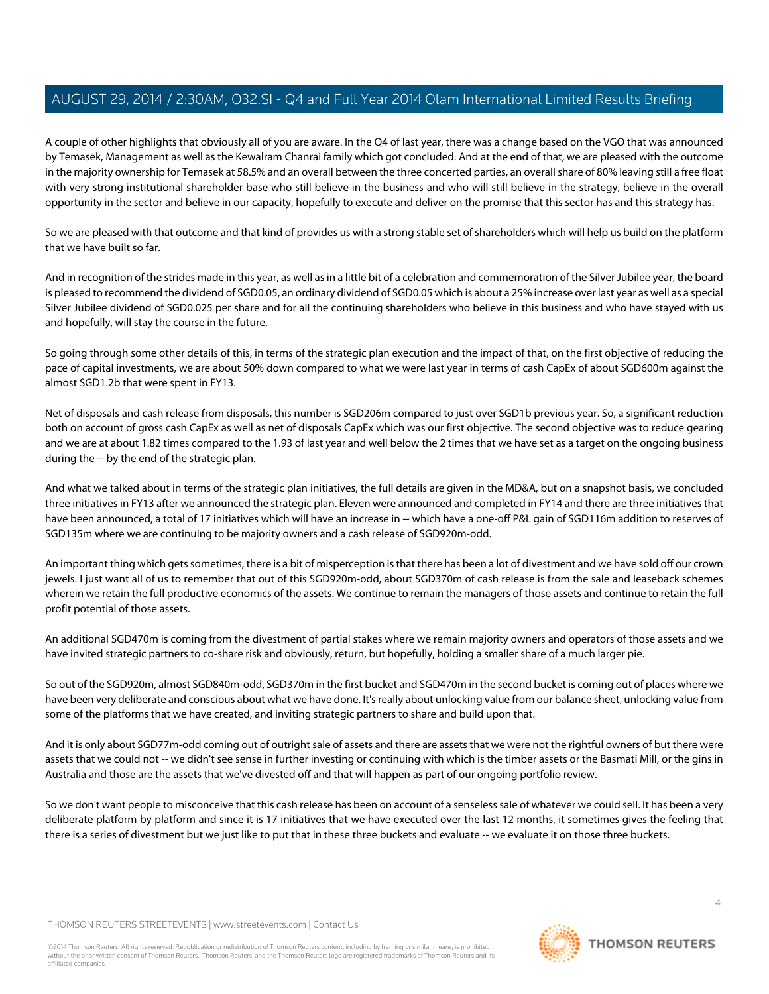A couple of other highlights that obviously all of you are aware. In the Q4 of last year, there was a change based on the VGO that was announced by Temasek, Management as well as the Kewalram Chanrai family which got concluded. And at the end of that, we are pleased with the outcome in the majority ownership for Temasek at 58.5% and an overall between the three concerted parties, an overall share of 80% leaving still a free float with very strong institutional shareholder base who still believe in the business and who will still believe in the strategy, believe in the overall opportunity in the sector and believe in our capacity, hopefully to execute and deliver on the promise that this sector has and this strategy has.

So we are pleased with that outcome and that kind of provides us with a strong stable set of shareholders which will help us build on the platform that we have built so far.

And in recognition of the strides made in this year, as well as in a little bit of a celebration and commemoration of the Silver Jubilee year, the board is pleased to recommend the dividend of SGD0.05, an ordinary dividend of SGD0.05 which is about a 25% increase over last year as well as a special Silver Jubilee dividend of SGD0.025 per share and for all the continuing shareholders who believe in this business and who have stayed with us and hopefully, will stay the course in the future.

So going through some other details of this, in terms of the strategic plan execution and the impact of that, on the first objective of reducing the pace of capital investments, we are about 50% down compared to what we were last year in terms of cash CapEx of about SGD600m against the almost SGD1.2b that were spent in FY13.

Net of disposals and cash release from disposals, this number is SGD206m compared to just over SGD1b previous year. So, a significant reduction both on account of gross cash CapEx as well as net of disposals CapEx which was our first objective. The second objective was to reduce gearing and we are at about 1.82 times compared to the 1.93 of last year and well below the 2 times that we have set as a target on the ongoing business during the -- by the end of the strategic plan.

And what we talked about in terms of the strategic plan initiatives, the full details are given in the MD&A, but on a snapshot basis, we concluded three initiatives in FY13 after we announced the strategic plan. Eleven were announced and completed in FY14 and there are three initiatives that have been announced, a total of 17 initiatives which will have an increase in -- which have a one-off P&L gain of SGD116m addition to reserves of SGD135m where we are continuing to be majority owners and a cash release of SGD920m-odd.

An important thing which gets sometimes, there is a bit of misperception is that there has been a lot of divestment and we have sold off our crown jewels. I just want all of us to remember that out of this SGD920m-odd, about SGD370m of cash release is from the sale and leaseback schemes wherein we retain the full productive economics of the assets. We continue to remain the managers of those assets and continue to retain the full profit potential of those assets.

An additional SGD470m is coming from the divestment of partial stakes where we remain majority owners and operators of those assets and we have invited strategic partners to co-share risk and obviously, return, but hopefully, holding a smaller share of a much larger pie.

So out of the SGD920m, almost SGD840m-odd, SGD370m in the first bucket and SGD470m in the second bucket is coming out of places where we have been very deliberate and conscious about what we have done. It's really about unlocking value from our balance sheet, unlocking value from some of the platforms that we have created, and inviting strategic partners to share and build upon that.

And it is only about SGD77m-odd coming out of outright sale of assets and there are assets that we were not the rightful owners of but there were assets that we could not -- we didn't see sense in further investing or continuing with which is the timber assets or the Basmati Mill, or the gins in Australia and those are the assets that we've divested off and that will happen as part of our ongoing portfolio review.

So we don't want people to misconceive that this cash release has been on account of a senseless sale of whatever we could sell. It has been a very deliberate platform by platform and since it is 17 initiatives that we have executed over the last 12 months, it sometimes gives the feeling that there is a series of divestment but we just like to put that in these three buckets and evaluate -- we evaluate it on those three buckets.

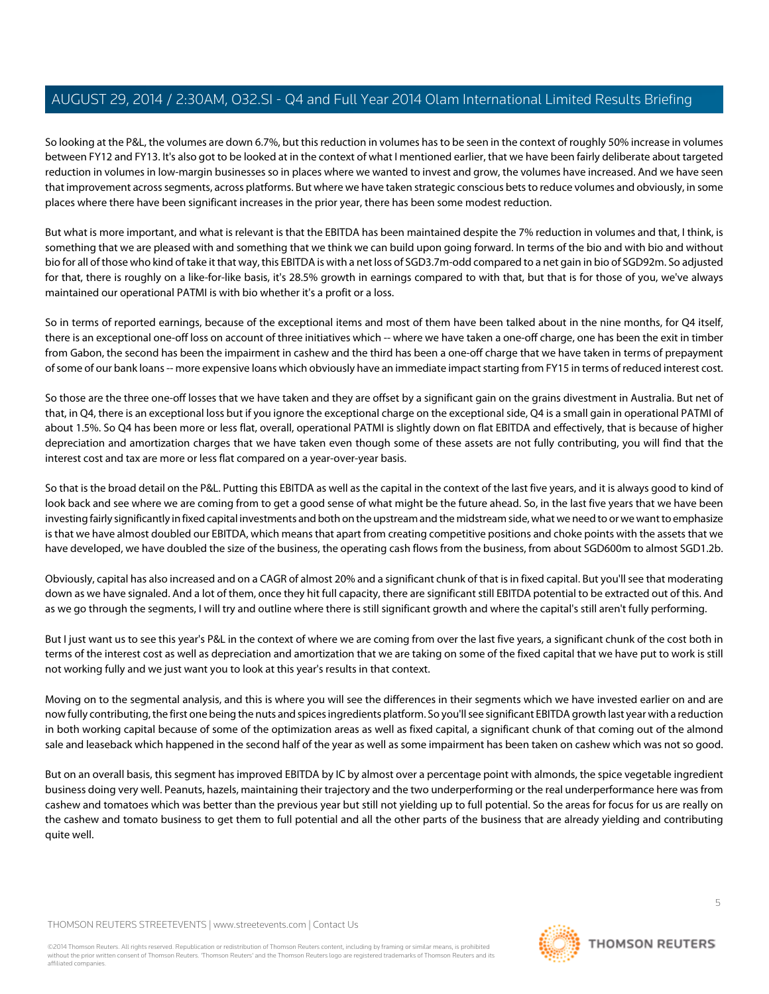So looking at the P&L, the volumes are down 6.7%, but this reduction in volumes has to be seen in the context of roughly 50% increase in volumes between FY12 and FY13. It's also got to be looked at in the context of what I mentioned earlier, that we have been fairly deliberate about targeted reduction in volumes in low-margin businesses so in places where we wanted to invest and grow, the volumes have increased. And we have seen that improvement across segments, across platforms. But where we have taken strategic conscious bets to reduce volumes and obviously, in some places where there have been significant increases in the prior year, there has been some modest reduction.

But what is more important, and what is relevant is that the EBITDA has been maintained despite the 7% reduction in volumes and that, I think, is something that we are pleased with and something that we think we can build upon going forward. In terms of the bio and with bio and without bio for all of those who kind of take it that way, this EBITDA is with a net loss of SGD3.7m-odd compared to a net gain in bio of SGD92m. So adjusted for that, there is roughly on a like-for-like basis, it's 28.5% growth in earnings compared to with that, but that is for those of you, we've always maintained our operational PATMI is with bio whether it's a profit or a loss.

So in terms of reported earnings, because of the exceptional items and most of them have been talked about in the nine months, for Q4 itself, there is an exceptional one-off loss on account of three initiatives which -- where we have taken a one-off charge, one has been the exit in timber from Gabon, the second has been the impairment in cashew and the third has been a one-off charge that we have taken in terms of prepayment of some of our bank loans -- more expensive loans which obviously have an immediate impact starting from FY15 in terms of reduced interest cost.

So those are the three one-off losses that we have taken and they are offset by a significant gain on the grains divestment in Australia. But net of that, in Q4, there is an exceptional loss but if you ignore the exceptional charge on the exceptional side, Q4 is a small gain in operational PATMI of about 1.5%. So Q4 has been more or less flat, overall, operational PATMI is slightly down on flat EBITDA and effectively, that is because of higher depreciation and amortization charges that we have taken even though some of these assets are not fully contributing, you will find that the interest cost and tax are more or less flat compared on a year-over-year basis.

So that is the broad detail on the P&L. Putting this EBITDA as well as the capital in the context of the last five years, and it is always good to kind of look back and see where we are coming from to get a good sense of what might be the future ahead. So, in the last five years that we have been investing fairly significantly in fixed capital investments and both on the upstream and the midstream side, what we need to or we want to emphasize is that we have almost doubled our EBITDA, which means that apart from creating competitive positions and choke points with the assets that we have developed, we have doubled the size of the business, the operating cash flows from the business, from about SGD600m to almost SGD1.2b.

Obviously, capital has also increased and on a CAGR of almost 20% and a significant chunk of that is in fixed capital. But you'll see that moderating down as we have signaled. And a lot of them, once they hit full capacity, there are significant still EBITDA potential to be extracted out of this. And as we go through the segments, I will try and outline where there is still significant growth and where the capital's still aren't fully performing.

But I just want us to see this year's P&L in the context of where we are coming from over the last five years, a significant chunk of the cost both in terms of the interest cost as well as depreciation and amortization that we are taking on some of the fixed capital that we have put to work is still not working fully and we just want you to look at this year's results in that context.

Moving on to the segmental analysis, and this is where you will see the differences in their segments which we have invested earlier on and are now fully contributing, the first one being the nuts and spices ingredients platform. So you'll see significant EBITDA growth last year with a reduction in both working capital because of some of the optimization areas as well as fixed capital, a significant chunk of that coming out of the almond sale and leaseback which happened in the second half of the year as well as some impairment has been taken on cashew which was not so good.

But on an overall basis, this segment has improved EBITDA by IC by almost over a percentage point with almonds, the spice vegetable ingredient business doing very well. Peanuts, hazels, maintaining their trajectory and the two underperforming or the real underperformance here was from cashew and tomatoes which was better than the previous year but still not yielding up to full potential. So the areas for focus for us are really on the cashew and tomato business to get them to full potential and all the other parts of the business that are already yielding and contributing quite well.

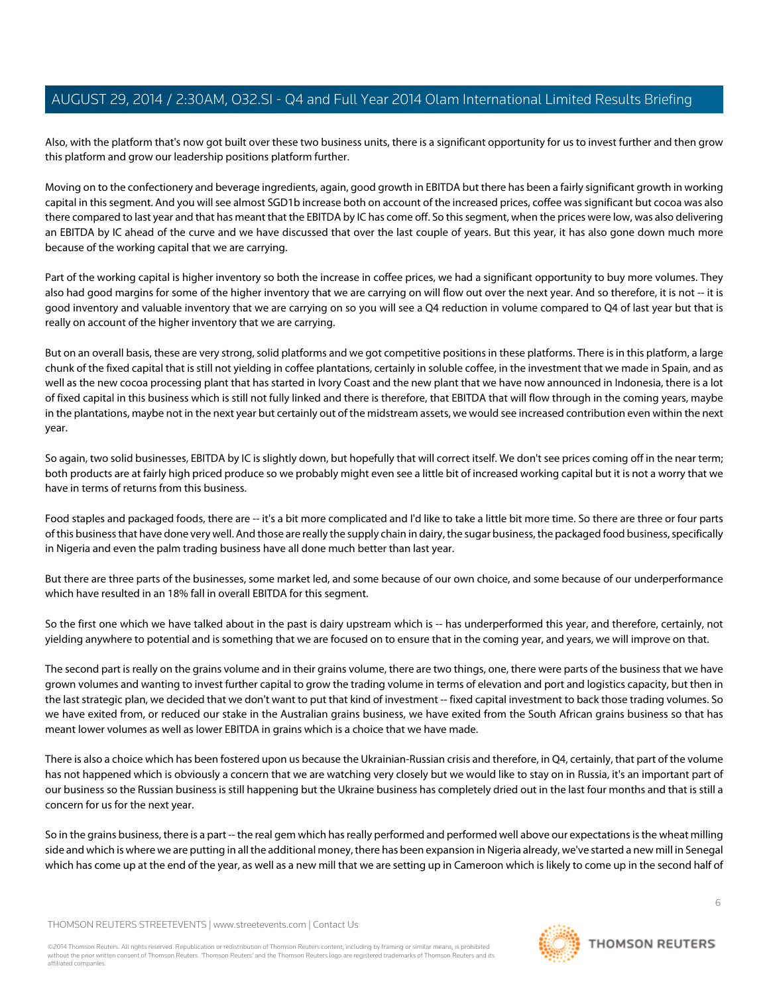Also, with the platform that's now got built over these two business units, there is a significant opportunity for us to invest further and then grow this platform and grow our leadership positions platform further.

Moving on to the confectionery and beverage ingredients, again, good growth in EBITDA but there has been a fairly significant growth in working capital in this segment. And you will see almost SGD1b increase both on account of the increased prices, coffee was significant but cocoa was also there compared to last year and that has meant that the EBITDA by IC has come off. So this segment, when the prices were low, was also delivering an EBITDA by IC ahead of the curve and we have discussed that over the last couple of years. But this year, it has also gone down much more because of the working capital that we are carrying.

Part of the working capital is higher inventory so both the increase in coffee prices, we had a significant opportunity to buy more volumes. They also had good margins for some of the higher inventory that we are carrying on will flow out over the next year. And so therefore, it is not -- it is good inventory and valuable inventory that we are carrying on so you will see a Q4 reduction in volume compared to Q4 of last year but that is really on account of the higher inventory that we are carrying.

But on an overall basis, these are very strong, solid platforms and we got competitive positions in these platforms. There is in this platform, a large chunk of the fixed capital that is still not yielding in coffee plantations, certainly in soluble coffee, in the investment that we made in Spain, and as well as the new cocoa processing plant that has started in Ivory Coast and the new plant that we have now announced in Indonesia, there is a lot of fixed capital in this business which is still not fully linked and there is therefore, that EBITDA that will flow through in the coming years, maybe in the plantations, maybe not in the next year but certainly out of the midstream assets, we would see increased contribution even within the next year.

So again, two solid businesses, EBITDA by IC is slightly down, but hopefully that will correct itself. We don't see prices coming off in the near term; both products are at fairly high priced produce so we probably might even see a little bit of increased working capital but it is not a worry that we have in terms of returns from this business.

Food staples and packaged foods, there are -- it's a bit more complicated and I'd like to take a little bit more time. So there are three or four parts of this business that have done very well. And those are really the supply chain in dairy, the sugar business, the packaged food business, specifically in Nigeria and even the palm trading business have all done much better than last year.

But there are three parts of the businesses, some market led, and some because of our own choice, and some because of our underperformance which have resulted in an 18% fall in overall EBITDA for this segment.

So the first one which we have talked about in the past is dairy upstream which is -- has underperformed this year, and therefore, certainly, not yielding anywhere to potential and is something that we are focused on to ensure that in the coming year, and years, we will improve on that.

The second part is really on the grains volume and in their grains volume, there are two things, one, there were parts of the business that we have grown volumes and wanting to invest further capital to grow the trading volume in terms of elevation and port and logistics capacity, but then in the last strategic plan, we decided that we don't want to put that kind of investment -- fixed capital investment to back those trading volumes. So we have exited from, or reduced our stake in the Australian grains business, we have exited from the South African grains business so that has meant lower volumes as well as lower EBITDA in grains which is a choice that we have made.

There is also a choice which has been fostered upon us because the Ukrainian-Russian crisis and therefore, in Q4, certainly, that part of the volume has not happened which is obviously a concern that we are watching very closely but we would like to stay on in Russia, it's an important part of our business so the Russian business is still happening but the Ukraine business has completely dried out in the last four months and that is still a concern for us for the next year.

So in the grains business, there is a part -- the real gem which has really performed and performed well above our expectations is the wheat milling side and which is where we are putting in all the additional money, there has been expansion in Nigeria already, we've started a new mill in Senegal which has come up at the end of the year, as well as a new mill that we are setting up in Cameroon which is likely to come up in the second half of

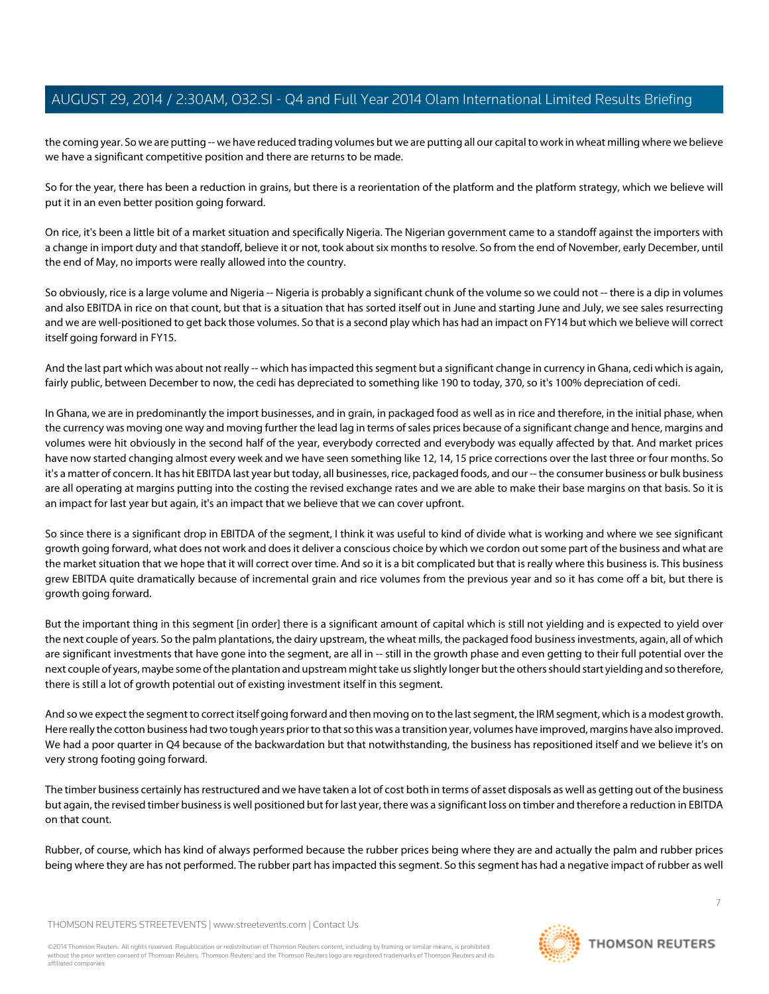the coming year. So we are putting -- we have reduced trading volumes but we are putting all our capital to work in wheat milling where we believe we have a significant competitive position and there are returns to be made.

So for the year, there has been a reduction in grains, but there is a reorientation of the platform and the platform strategy, which we believe will put it in an even better position going forward.

On rice, it's been a little bit of a market situation and specifically Nigeria. The Nigerian government came to a standoff against the importers with a change in import duty and that standoff, believe it or not, took about six months to resolve. So from the end of November, early December, until the end of May, no imports were really allowed into the country.

So obviously, rice is a large volume and Nigeria -- Nigeria is probably a significant chunk of the volume so we could not -- there is a dip in volumes and also EBITDA in rice on that count, but that is a situation that has sorted itself out in June and starting June and July, we see sales resurrecting and we are well-positioned to get back those volumes. So that is a second play which has had an impact on FY14 but which we believe will correct itself going forward in FY15.

And the last part which was about not really -- which has impacted this segment but a significant change in currency in Ghana, cedi which is again, fairly public, between December to now, the cedi has depreciated to something like 190 to today, 370, so it's 100% depreciation of cedi.

In Ghana, we are in predominantly the import businesses, and in grain, in packaged food as well as in rice and therefore, in the initial phase, when the currency was moving one way and moving further the lead lag in terms of sales prices because of a significant change and hence, margins and volumes were hit obviously in the second half of the year, everybody corrected and everybody was equally affected by that. And market prices have now started changing almost every week and we have seen something like 12, 14, 15 price corrections over the last three or four months. So it's a matter of concern. It has hit EBITDA last year but today, all businesses, rice, packaged foods, and our -- the consumer business or bulk business are all operating at margins putting into the costing the revised exchange rates and we are able to make their base margins on that basis. So it is an impact for last year but again, it's an impact that we believe that we can cover upfront.

So since there is a significant drop in EBITDA of the segment, I think it was useful to kind of divide what is working and where we see significant growth going forward, what does not work and does it deliver a conscious choice by which we cordon out some part of the business and what are the market situation that we hope that it will correct over time. And so it is a bit complicated but that is really where this business is. This business grew EBITDA quite dramatically because of incremental grain and rice volumes from the previous year and so it has come off a bit, but there is growth going forward.

But the important thing in this segment [in order] there is a significant amount of capital which is still not yielding and is expected to yield over the next couple of years. So the palm plantations, the dairy upstream, the wheat mills, the packaged food business investments, again, all of which are significant investments that have gone into the segment, are all in -- still in the growth phase and even getting to their full potential over the next couple of years, maybe some of the plantation and upstream might take us slightly longer but the others should start yielding and so therefore, there is still a lot of growth potential out of existing investment itself in this segment.

And so we expect the segment to correct itself going forward and then moving on to the last segment, the IRM segment, which is a modest growth. Here really the cotton business had two tough years prior to that so this was a transition year, volumes have improved, margins have also improved. We had a poor quarter in Q4 because of the backwardation but that notwithstanding, the business has repositioned itself and we believe it's on very strong footing going forward.

The timber business certainly has restructured and we have taken a lot of cost both in terms of asset disposals as well as getting out of the business but again, the revised timber business is well positioned but for last year, there was a significant loss on timber and therefore a reduction in EBITDA on that count.

Rubber, of course, which has kind of always performed because the rubber prices being where they are and actually the palm and rubber prices being where they are has not performed. The rubber part has impacted this segment. So this segment has had a negative impact of rubber as well

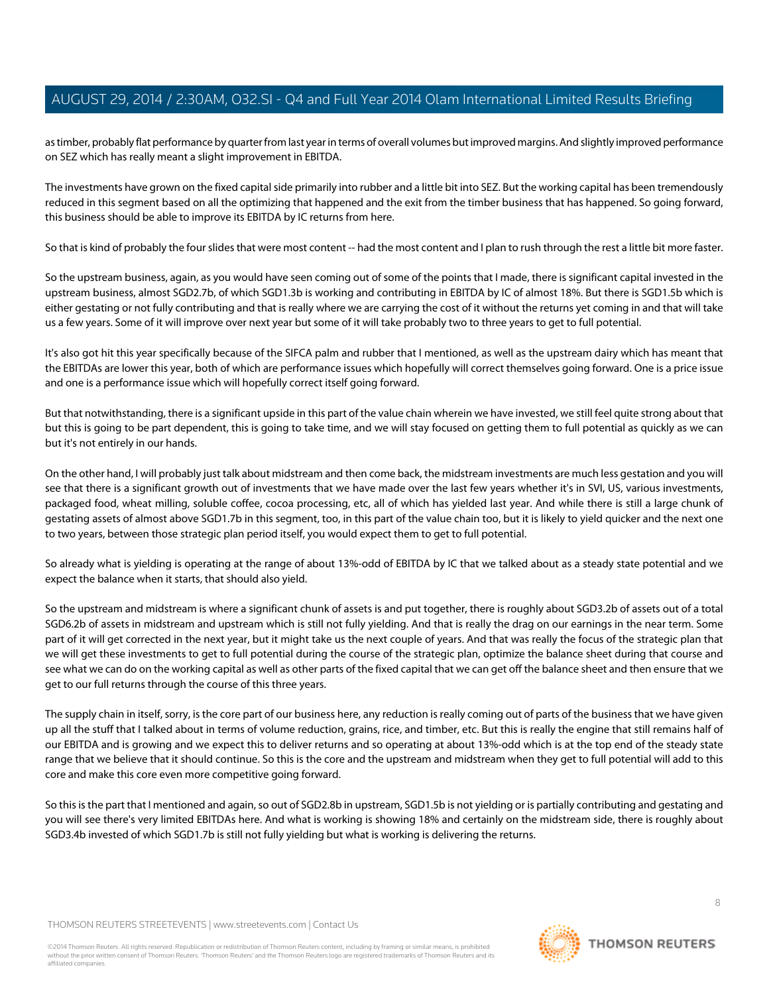as timber, probably flat performance by quarter from last year in terms of overall volumes but improved margins. And slightly improved performance on SEZ which has really meant a slight improvement in EBITDA.

The investments have grown on the fixed capital side primarily into rubber and a little bit into SEZ. But the working capital has been tremendously reduced in this segment based on all the optimizing that happened and the exit from the timber business that has happened. So going forward, this business should be able to improve its EBITDA by IC returns from here.

So that is kind of probably the four slides that were most content -- had the most content and I plan to rush through the rest a little bit more faster.

So the upstream business, again, as you would have seen coming out of some of the points that I made, there is significant capital invested in the upstream business, almost SGD2.7b, of which SGD1.3b is working and contributing in EBITDA by IC of almost 18%. But there is SGD1.5b which is either gestating or not fully contributing and that is really where we are carrying the cost of it without the returns yet coming in and that will take us a few years. Some of it will improve over next year but some of it will take probably two to three years to get to full potential.

It's also got hit this year specifically because of the SIFCA palm and rubber that I mentioned, as well as the upstream dairy which has meant that the EBITDAs are lower this year, both of which are performance issues which hopefully will correct themselves going forward. One is a price issue and one is a performance issue which will hopefully correct itself going forward.

But that notwithstanding, there is a significant upside in this part of the value chain wherein we have invested, we still feel quite strong about that but this is going to be part dependent, this is going to take time, and we will stay focused on getting them to full potential as quickly as we can but it's not entirely in our hands.

On the other hand, I will probably just talk about midstream and then come back, the midstream investments are much less gestation and you will see that there is a significant growth out of investments that we have made over the last few years whether it's in SVI, US, various investments, packaged food, wheat milling, soluble coffee, cocoa processing, etc, all of which has yielded last year. And while there is still a large chunk of gestating assets of almost above SGD1.7b in this segment, too, in this part of the value chain too, but it is likely to yield quicker and the next one to two years, between those strategic plan period itself, you would expect them to get to full potential.

So already what is yielding is operating at the range of about 13%-odd of EBITDA by IC that we talked about as a steady state potential and we expect the balance when it starts, that should also yield.

So the upstream and midstream is where a significant chunk of assets is and put together, there is roughly about SGD3.2b of assets out of a total SGD6.2b of assets in midstream and upstream which is still not fully yielding. And that is really the drag on our earnings in the near term. Some part of it will get corrected in the next year, but it might take us the next couple of years. And that was really the focus of the strategic plan that we will get these investments to get to full potential during the course of the strategic plan, optimize the balance sheet during that course and see what we can do on the working capital as well as other parts of the fixed capital that we can get off the balance sheet and then ensure that we get to our full returns through the course of this three years.

The supply chain in itself, sorry, is the core part of our business here, any reduction is really coming out of parts of the business that we have given up all the stuff that I talked about in terms of volume reduction, grains, rice, and timber, etc. But this is really the engine that still remains half of our EBITDA and is growing and we expect this to deliver returns and so operating at about 13%-odd which is at the top end of the steady state range that we believe that it should continue. So this is the core and the upstream and midstream when they get to full potential will add to this core and make this core even more competitive going forward.

So this is the part that I mentioned and again, so out of SGD2.8b in upstream, SGD1.5b is not yielding or is partially contributing and gestating and you will see there's very limited EBITDAs here. And what is working is showing 18% and certainly on the midstream side, there is roughly about SGD3.4b invested of which SGD1.7b is still not fully yielding but what is working is delivering the returns.

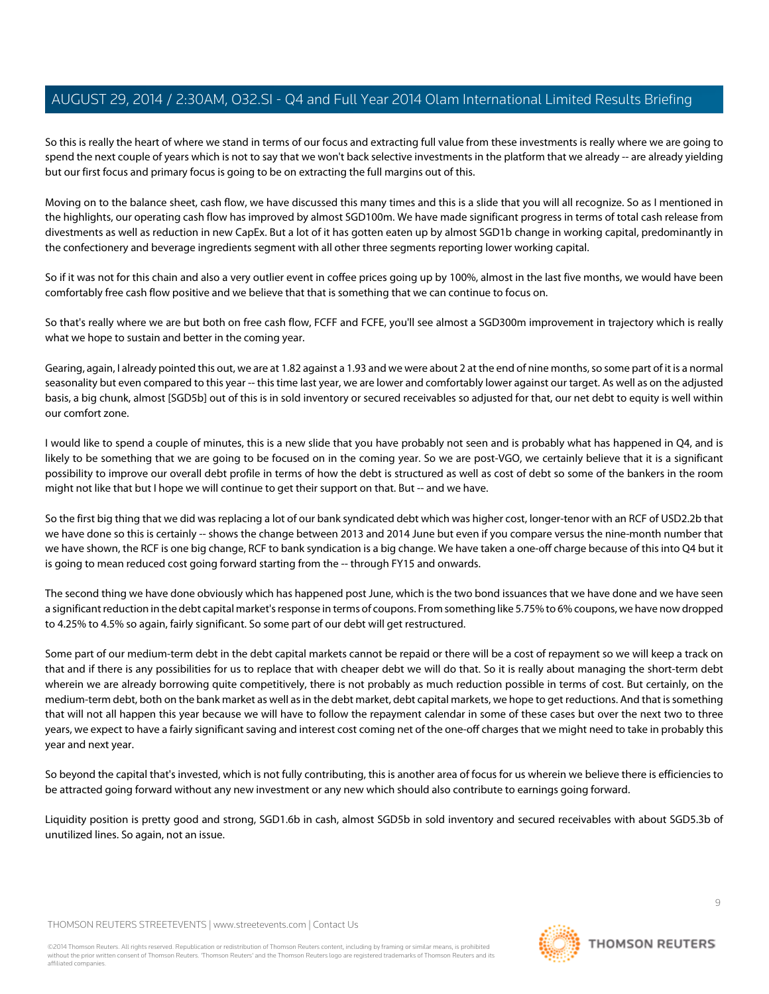So this is really the heart of where we stand in terms of our focus and extracting full value from these investments is really where we are going to spend the next couple of years which is not to say that we won't back selective investments in the platform that we already -- are already yielding but our first focus and primary focus is going to be on extracting the full margins out of this.

Moving on to the balance sheet, cash flow, we have discussed this many times and this is a slide that you will all recognize. So as I mentioned in the highlights, our operating cash flow has improved by almost SGD100m. We have made significant progress in terms of total cash release from divestments as well as reduction in new CapEx. But a lot of it has gotten eaten up by almost SGD1b change in working capital, predominantly in the confectionery and beverage ingredients segment with all other three segments reporting lower working capital.

So if it was not for this chain and also a very outlier event in coffee prices going up by 100%, almost in the last five months, we would have been comfortably free cash flow positive and we believe that that is something that we can continue to focus on.

So that's really where we are but both on free cash flow, FCFF and FCFE, you'll see almost a SGD300m improvement in trajectory which is really what we hope to sustain and better in the coming year.

Gearing, again, I already pointed this out, we are at 1.82 against a 1.93 and we were about 2 at the end of nine months, so some part of it is a normal seasonality but even compared to this year -- this time last year, we are lower and comfortably lower against our target. As well as on the adjusted basis, a big chunk, almost [SGD5b] out of this is in sold inventory or secured receivables so adjusted for that, our net debt to equity is well within our comfort zone.

I would like to spend a couple of minutes, this is a new slide that you have probably not seen and is probably what has happened in Q4, and is likely to be something that we are going to be focused on in the coming year. So we are post-VGO, we certainly believe that it is a significant possibility to improve our overall debt profile in terms of how the debt is structured as well as cost of debt so some of the bankers in the room might not like that but I hope we will continue to get their support on that. But -- and we have.

So the first big thing that we did was replacing a lot of our bank syndicated debt which was higher cost, longer-tenor with an RCF of USD2.2b that we have done so this is certainly -- shows the change between 2013 and 2014 June but even if you compare versus the nine-month number that we have shown, the RCF is one big change, RCF to bank syndication is a big change. We have taken a one-off charge because of this into Q4 but it is going to mean reduced cost going forward starting from the -- through FY15 and onwards.

The second thing we have done obviously which has happened post June, which is the two bond issuances that we have done and we have seen a significant reduction in the debt capital market's response in terms of coupons. From something like 5.75% to 6% coupons, we have now dropped to 4.25% to 4.5% so again, fairly significant. So some part of our debt will get restructured.

Some part of our medium-term debt in the debt capital markets cannot be repaid or there will be a cost of repayment so we will keep a track on that and if there is any possibilities for us to replace that with cheaper debt we will do that. So it is really about managing the short-term debt wherein we are already borrowing quite competitively, there is not probably as much reduction possible in terms of cost. But certainly, on the medium-term debt, both on the bank market as well as in the debt market, debt capital markets, we hope to get reductions. And that is something that will not all happen this year because we will have to follow the repayment calendar in some of these cases but over the next two to three years, we expect to have a fairly significant saving and interest cost coming net of the one-off charges that we might need to take in probably this year and next year.

So beyond the capital that's invested, which is not fully contributing, this is another area of focus for us wherein we believe there is efficiencies to be attracted going forward without any new investment or any new which should also contribute to earnings going forward.

Liquidity position is pretty good and strong, SGD1.6b in cash, almost SGD5b in sold inventory and secured receivables with about SGD5.3b of unutilized lines. So again, not an issue.

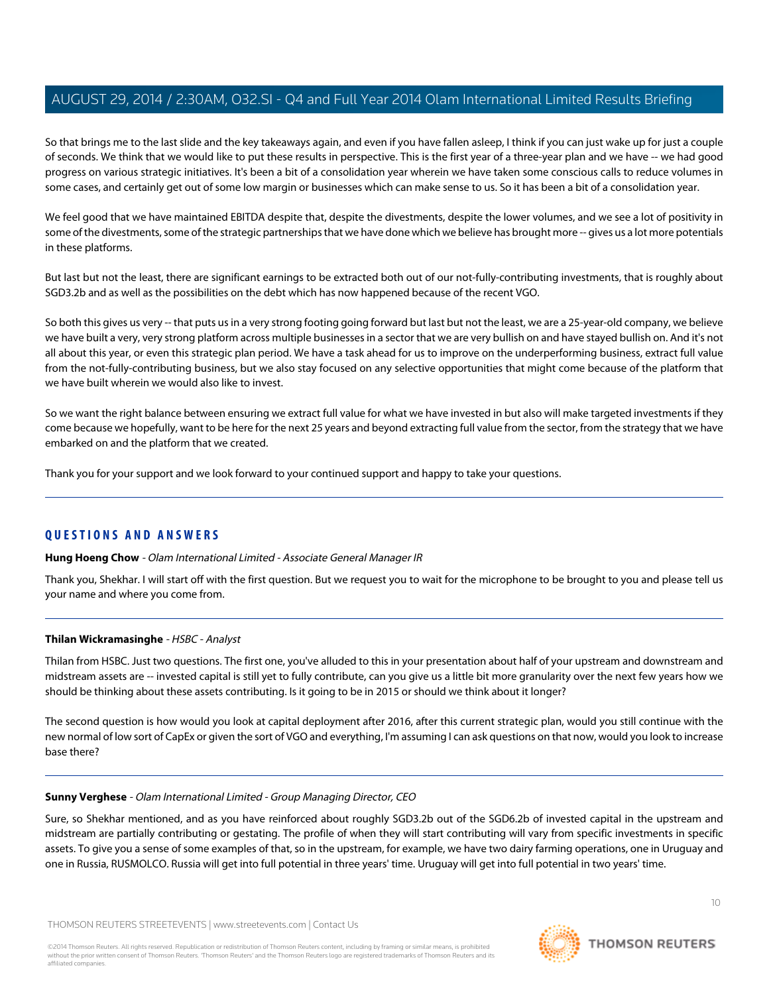So that brings me to the last slide and the key takeaways again, and even if you have fallen asleep, I think if you can just wake up for just a couple of seconds. We think that we would like to put these results in perspective. This is the first year of a three-year plan and we have -- we had good progress on various strategic initiatives. It's been a bit of a consolidation year wherein we have taken some conscious calls to reduce volumes in some cases, and certainly get out of some low margin or businesses which can make sense to us. So it has been a bit of a consolidation year.

We feel good that we have maintained EBITDA despite that, despite the divestments, despite the lower volumes, and we see a lot of positivity in some of the divestments, some of the strategic partnerships that we have done which we believe has brought more -- gives us a lot more potentials in these platforms.

But last but not the least, there are significant earnings to be extracted both out of our not-fully-contributing investments, that is roughly about SGD3.2b and as well as the possibilities on the debt which has now happened because of the recent VGO.

So both this gives us very -- that puts us in a very strong footing going forward but last but not the least, we are a 25-year-old company, we believe we have built a very, very strong platform across multiple businesses in a sector that we are very bullish on and have stayed bullish on. And it's not all about this year, or even this strategic plan period. We have a task ahead for us to improve on the underperforming business, extract full value from the not-fully-contributing business, but we also stay focused on any selective opportunities that might come because of the platform that we have built wherein we would also like to invest.

So we want the right balance between ensuring we extract full value for what we have invested in but also will make targeted investments if they come because we hopefully, want to be here for the next 25 years and beyond extracting full value from the sector, from the strategy that we have embarked on and the platform that we created.

Thank you for your support and we look forward to your continued support and happy to take your questions.

# **QUESTIONS AND ANSWERS**

**Hung Hoeng Chow** - Olam International Limited - Associate General Manager IR

<span id="page-9-1"></span>Thank you, Shekhar. I will start off with the first question. But we request you to wait for the microphone to be brought to you and please tell us your name and where you come from.

# **Thilan Wickramasinghe** - HSBC - Analyst

Thilan from HSBC. Just two questions. The first one, you've alluded to this in your presentation about half of your upstream and downstream and midstream assets are -- invested capital is still yet to fully contribute, can you give us a little bit more granularity over the next few years how we should be thinking about these assets contributing. Is it going to be in 2015 or should we think about it longer?

<span id="page-9-0"></span>The second question is how would you look at capital deployment after 2016, after this current strategic plan, would you still continue with the new normal of low sort of CapEx or given the sort of VGO and everything, I'm assuming I can ask questions on that now, would you look to increase base there?

#### **Sunny Verghese** - Olam International Limited - Group Managing Director, CEO

Sure, so Shekhar mentioned, and as you have reinforced about roughly SGD3.2b out of the SGD6.2b of invested capital in the upstream and midstream are partially contributing or gestating. The profile of when they will start contributing will vary from specific investments in specific assets. To give you a sense of some examples of that, so in the upstream, for example, we have two dairy farming operations, one in Uruguay and one in Russia, RUSMOLCO. Russia will get into full potential in three years' time. Uruguay will get into full potential in two years' time.

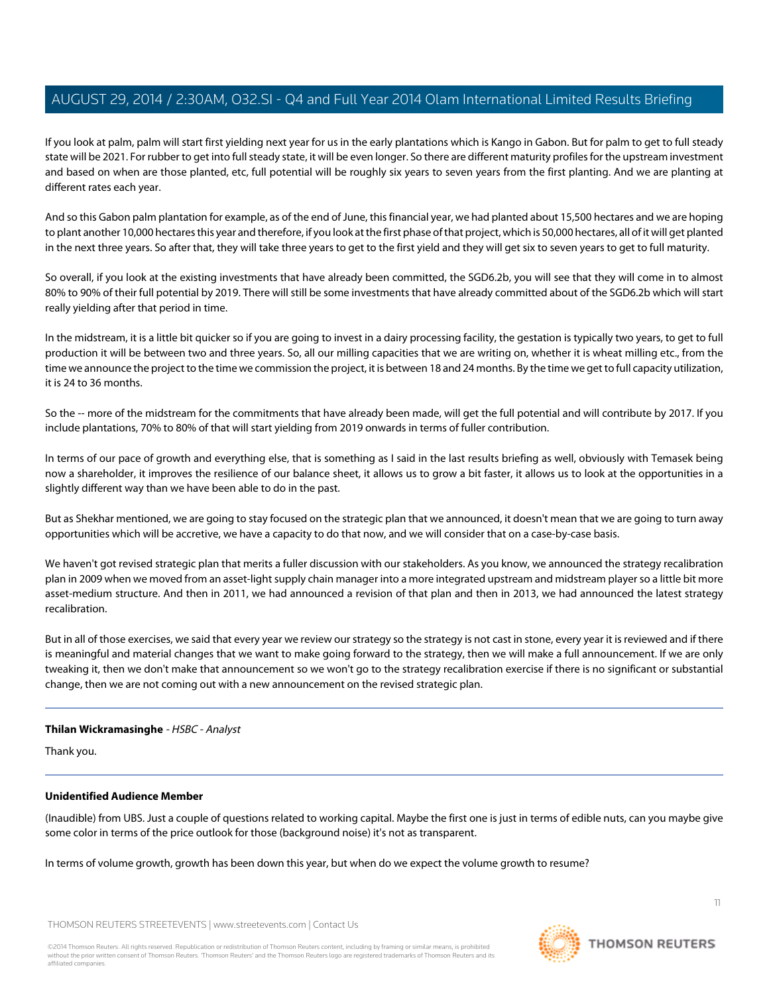If you look at palm, palm will start first yielding next year for us in the early plantations which is Kango in Gabon. But for palm to get to full steady state will be 2021. For rubber to get into full steady state, it will be even longer. So there are different maturity profiles for the upstream investment and based on when are those planted, etc, full potential will be roughly six years to seven years from the first planting. And we are planting at different rates each year.

And so this Gabon palm plantation for example, as of the end of June, this financial year, we had planted about 15,500 hectares and we are hoping to plant another 10,000 hectares this year and therefore, if you look at the first phase of that project, which is 50,000 hectares, all of it will get planted in the next three years. So after that, they will take three years to get to the first yield and they will get six to seven years to get to full maturity.

So overall, if you look at the existing investments that have already been committed, the SGD6.2b, you will see that they will come in to almost 80% to 90% of their full potential by 2019. There will still be some investments that have already committed about of the SGD6.2b which will start really yielding after that period in time.

In the midstream, it is a little bit quicker so if you are going to invest in a dairy processing facility, the gestation is typically two years, to get to full production it will be between two and three years. So, all our milling capacities that we are writing on, whether it is wheat milling etc., from the time we announce the project to the time we commission the project, it is between 18 and 24 months. By the time we get to full capacity utilization, it is 24 to 36 months.

So the -- more of the midstream for the commitments that have already been made, will get the full potential and will contribute by 2017. If you include plantations, 70% to 80% of that will start yielding from 2019 onwards in terms of fuller contribution.

In terms of our pace of growth and everything else, that is something as I said in the last results briefing as well, obviously with Temasek being now a shareholder, it improves the resilience of our balance sheet, it allows us to grow a bit faster, it allows us to look at the opportunities in a slightly different way than we have been able to do in the past.

But as Shekhar mentioned, we are going to stay focused on the strategic plan that we announced, it doesn't mean that we are going to turn away opportunities which will be accretive, we have a capacity to do that now, and we will consider that on a case-by-case basis.

We haven't got revised strategic plan that merits a fuller discussion with our stakeholders. As you know, we announced the strategy recalibration plan in 2009 when we moved from an asset-light supply chain manager into a more integrated upstream and midstream player so a little bit more asset-medium structure. And then in 2011, we had announced a revision of that plan and then in 2013, we had announced the latest strategy recalibration.

But in all of those exercises, we said that every year we review our strategy so the strategy is not cast in stone, every year it is reviewed and if there is meaningful and material changes that we want to make going forward to the strategy, then we will make a full announcement. If we are only tweaking it, then we don't make that announcement so we won't go to the strategy recalibration exercise if there is no significant or substantial change, then we are not coming out with a new announcement on the revised strategic plan.

#### **Thilan Wickramasinghe** - HSBC - Analyst

Thank you.

# **Unidentified Audience Member**

(Inaudible) from UBS. Just a couple of questions related to working capital. Maybe the first one is just in terms of edible nuts, can you maybe give some color in terms of the price outlook for those (background noise) it's not as transparent.

In terms of volume growth, growth has been down this year, but when do we expect the volume growth to resume?



**THOMSON REUTERS**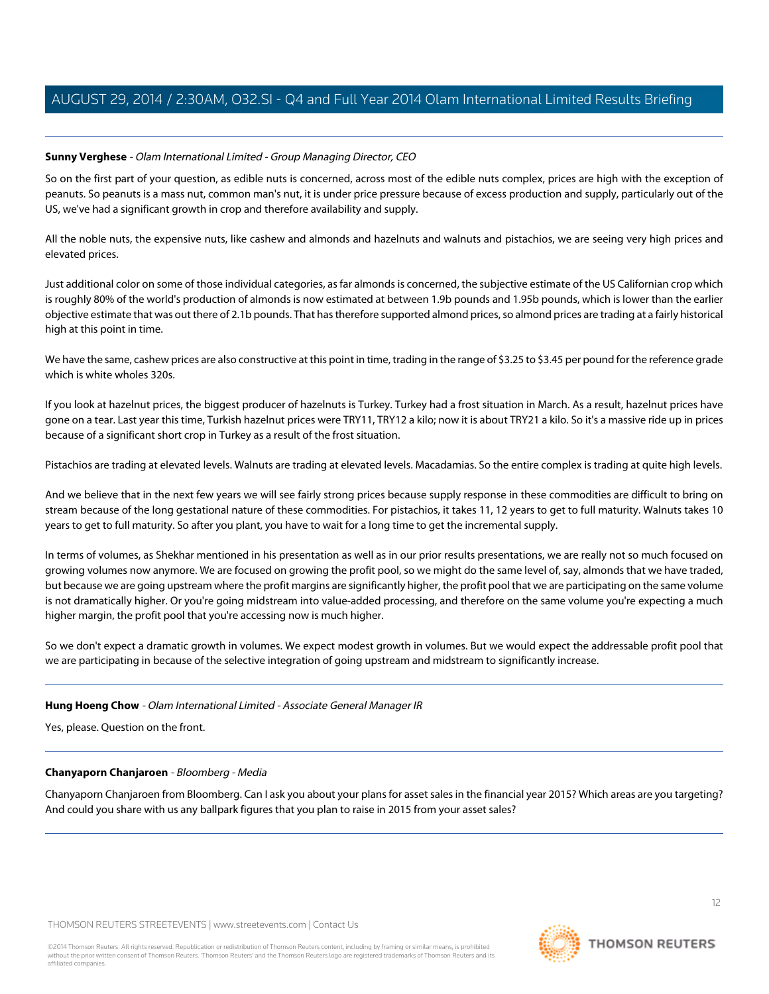# **Sunny Verghese** - Olam International Limited - Group Managing Director, CEO

So on the first part of your question, as edible nuts is concerned, across most of the edible nuts complex, prices are high with the exception of peanuts. So peanuts is a mass nut, common man's nut, it is under price pressure because of excess production and supply, particularly out of the US, we've had a significant growth in crop and therefore availability and supply.

All the noble nuts, the expensive nuts, like cashew and almonds and hazelnuts and walnuts and pistachios, we are seeing very high prices and elevated prices.

Just additional color on some of those individual categories, as far almonds is concerned, the subjective estimate of the US Californian crop which is roughly 80% of the world's production of almonds is now estimated at between 1.9b pounds and 1.95b pounds, which is lower than the earlier objective estimate that was out there of 2.1b pounds. That has therefore supported almond prices, so almond prices are trading at a fairly historical high at this point in time.

We have the same, cashew prices are also constructive at this point in time, trading in the range of \$3.25 to \$3.45 per pound for the reference grade which is white wholes 320s.

If you look at hazelnut prices, the biggest producer of hazelnuts is Turkey. Turkey had a frost situation in March. As a result, hazelnut prices have gone on a tear. Last year this time, Turkish hazelnut prices were TRY11, TRY12 a kilo; now it is about TRY21 a kilo. So it's a massive ride up in prices because of a significant short crop in Turkey as a result of the frost situation.

Pistachios are trading at elevated levels. Walnuts are trading at elevated levels. Macadamias. So the entire complex is trading at quite high levels.

And we believe that in the next few years we will see fairly strong prices because supply response in these commodities are difficult to bring on stream because of the long gestational nature of these commodities. For pistachios, it takes 11, 12 years to get to full maturity. Walnuts takes 10 years to get to full maturity. So after you plant, you have to wait for a long time to get the incremental supply.

In terms of volumes, as Shekhar mentioned in his presentation as well as in our prior results presentations, we are really not so much focused on growing volumes now anymore. We are focused on growing the profit pool, so we might do the same level of, say, almonds that we have traded, but because we are going upstream where the profit margins are significantly higher, the profit pool that we are participating on the same volume is not dramatically higher. Or you're going midstream into value-added processing, and therefore on the same volume you're expecting a much higher margin, the profit pool that you're accessing now is much higher.

So we don't expect a dramatic growth in volumes. We expect modest growth in volumes. But we would expect the addressable profit pool that we are participating in because of the selective integration of going upstream and midstream to significantly increase.

# <span id="page-11-0"></span>**Hung Hoeng Chow** - Olam International Limited - Associate General Manager IR

Yes, please. Question on the front.

# **Chanyaporn Chanjaroen** - Bloomberg - Media

Chanyaporn Chanjaroen from Bloomberg. Can I ask you about your plans for asset sales in the financial year 2015? Which areas are you targeting? And could you share with us any ballpark figures that you plan to raise in 2015 from your asset sales?



12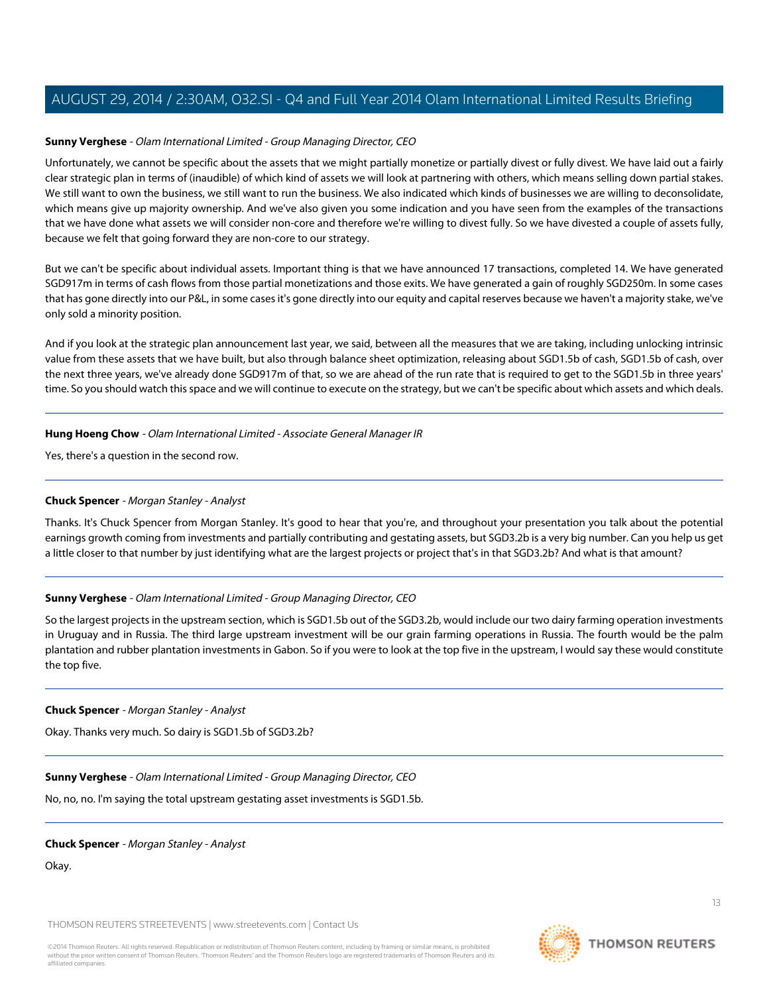### **Sunny Verghese** - Olam International Limited - Group Managing Director, CEO

Unfortunately, we cannot be specific about the assets that we might partially monetize or partially divest or fully divest. We have laid out a fairly clear strategic plan in terms of (inaudible) of which kind of assets we will look at partnering with others, which means selling down partial stakes. We still want to own the business, we still want to run the business. We also indicated which kinds of businesses we are willing to deconsolidate, which means give up majority ownership. And we've also given you some indication and you have seen from the examples of the transactions that we have done what assets we will consider non-core and therefore we're willing to divest fully. So we have divested a couple of assets fully, because we felt that going forward they are non-core to our strategy.

But we can't be specific about individual assets. Important thing is that we have announced 17 transactions, completed 14. We have generated SGD917m in terms of cash flows from those partial monetizations and those exits. We have generated a gain of roughly SGD250m. In some cases that has gone directly into our P&L, in some cases it's gone directly into our equity and capital reserves because we haven't a majority stake, we've only sold a minority position.

And if you look at the strategic plan announcement last year, we said, between all the measures that we are taking, including unlocking intrinsic value from these assets that we have built, but also through balance sheet optimization, releasing about SGD1.5b of cash, SGD1.5b of cash, over the next three years, we've already done SGD917m of that, so we are ahead of the run rate that is required to get to the SGD1.5b in three years' time. So you should watch this space and we will continue to execute on the strategy, but we can't be specific about which assets and which deals.

#### **Hung Hoeng Chow** - Olam International Limited - Associate General Manager IR

<span id="page-12-0"></span>Yes, there's a question in the second row.

### **Chuck Spencer** - Morgan Stanley - Analyst

Thanks. It's Chuck Spencer from Morgan Stanley. It's good to hear that you're, and throughout your presentation you talk about the potential earnings growth coming from investments and partially contributing and gestating assets, but SGD3.2b is a very big number. Can you help us get a little closer to that number by just identifying what are the largest projects or project that's in that SGD3.2b? And what is that amount?

# **Sunny Verghese** - Olam International Limited - Group Managing Director, CEO

So the largest projects in the upstream section, which is SGD1.5b out of the SGD3.2b, would include our two dairy farming operation investments in Uruguay and in Russia. The third large upstream investment will be our grain farming operations in Russia. The fourth would be the palm plantation and rubber plantation investments in Gabon. So if you were to look at the top five in the upstream, I would say these would constitute the top five.

#### **Chuck Spencer** - Morgan Stanley - Analyst

Okay. Thanks very much. So dairy is SGD1.5b of SGD3.2b?

**Sunny Verghese** - Olam International Limited - Group Managing Director, CEO

No, no, no. I'm saying the total upstream gestating asset investments is SGD1.5b.

**Chuck Spencer** - Morgan Stanley - Analyst

Okay.

THOMSON REUTERS STREETEVENTS | [www.streetevents.com](http://www.streetevents.com) | [Contact Us](http://www010.streetevents.com/contact.asp)

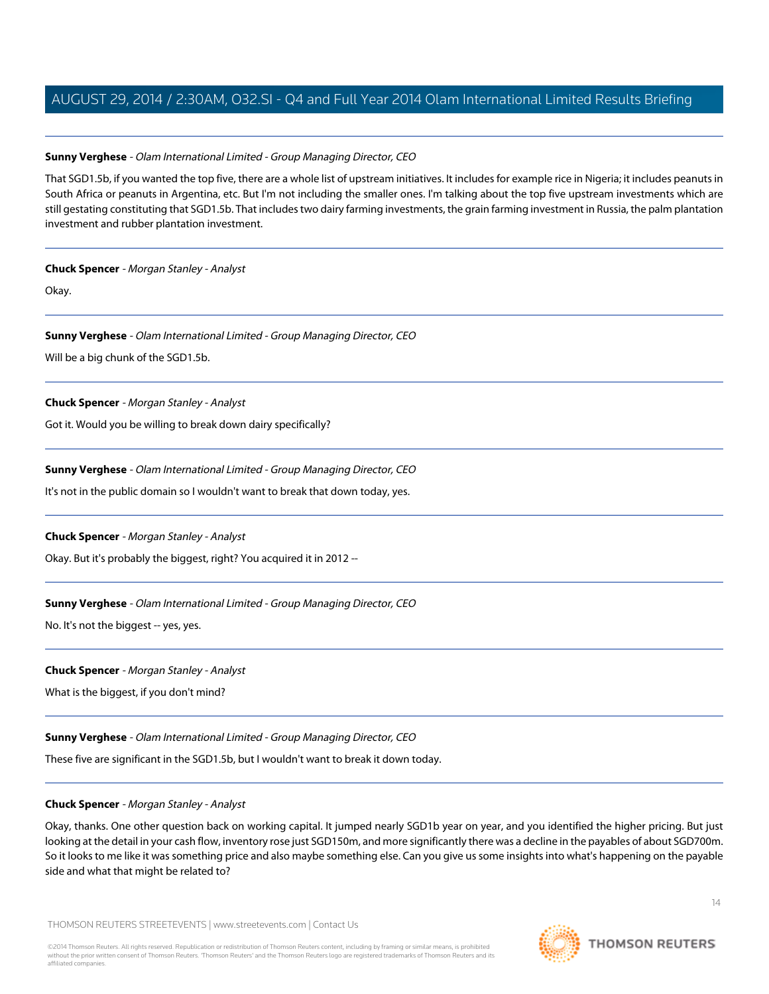### **Sunny Verghese** - Olam International Limited - Group Managing Director, CEO

That SGD1.5b, if you wanted the top five, there are a whole list of upstream initiatives. It includes for example rice in Nigeria; it includes peanuts in South Africa or peanuts in Argentina, etc. But I'm not including the smaller ones. I'm talking about the top five upstream investments which are still gestating constituting that SGD1.5b. That includes two dairy farming investments, the grain farming investment in Russia, the palm plantation investment and rubber plantation investment.

#### **Chuck Spencer** - Morgan Stanley - Analyst

Okay.

# **Sunny Verghese** - Olam International Limited - Group Managing Director, CEO

Will be a big chunk of the SGD1.5b.

### **Chuck Spencer** - Morgan Stanley - Analyst

Got it. Would you be willing to break down dairy specifically?

### **Sunny Verghese** - Olam International Limited - Group Managing Director, CEO

It's not in the public domain so I wouldn't want to break that down today, yes.

# **Chuck Spencer** - Morgan Stanley - Analyst

Okay. But it's probably the biggest, right? You acquired it in 2012 --

# **Sunny Verghese** - Olam International Limited - Group Managing Director, CEO

No. It's not the biggest -- yes, yes.

# **Chuck Spencer** - Morgan Stanley - Analyst

What is the biggest, if you don't mind?

# **Sunny Verghese** - Olam International Limited - Group Managing Director, CEO

These five are significant in the SGD1.5b, but I wouldn't want to break it down today.

# **Chuck Spencer** - Morgan Stanley - Analyst

Okay, thanks. One other question back on working capital. It jumped nearly SGD1b year on year, and you identified the higher pricing. But just looking at the detail in your cash flow, inventory rose just SGD150m, and more significantly there was a decline in the payables of about SGD700m. So it looks to me like it was something price and also maybe something else. Can you give us some insights into what's happening on the payable side and what that might be related to?

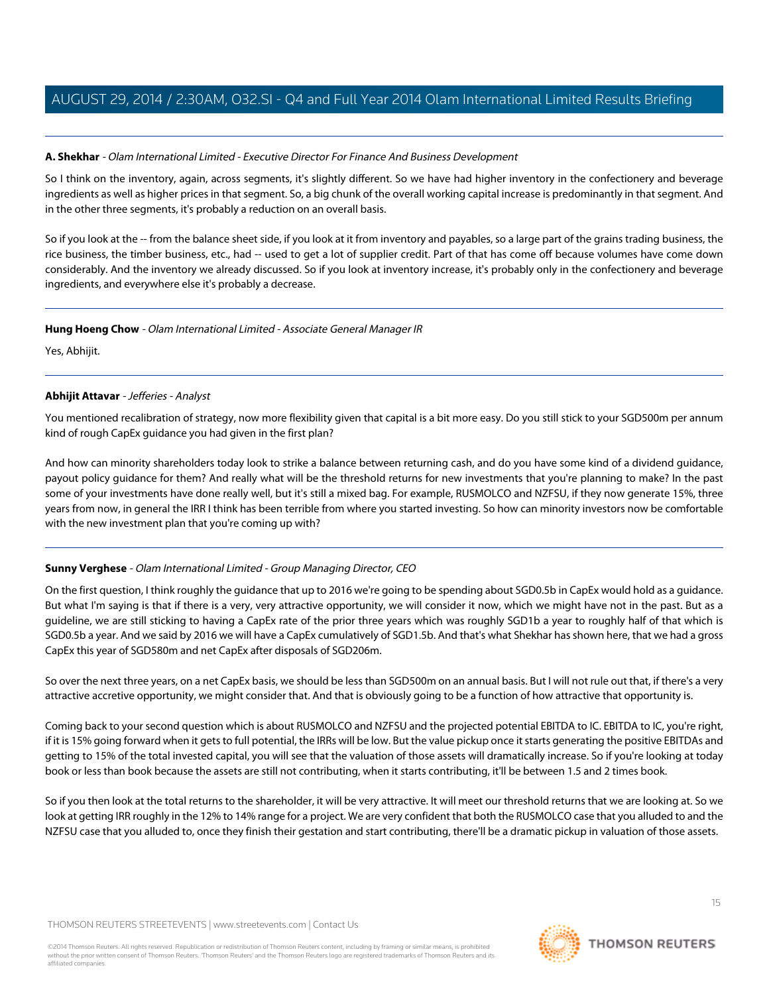# **A. Shekhar** - Olam International Limited - Executive Director For Finance And Business Development

So I think on the inventory, again, across segments, it's slightly different. So we have had higher inventory in the confectionery and beverage ingredients as well as higher prices in that segment. So, a big chunk of the overall working capital increase is predominantly in that segment. And in the other three segments, it's probably a reduction on an overall basis.

So if you look at the -- from the balance sheet side, if you look at it from inventory and payables, so a large part of the grains trading business, the rice business, the timber business, etc., had -- used to get a lot of supplier credit. Part of that has come off because volumes have come down considerably. And the inventory we already discussed. So if you look at inventory increase, it's probably only in the confectionery and beverage ingredients, and everywhere else it's probably a decrease.

### **Hung Hoeng Chow** - Olam International Limited - Associate General Manager IR

<span id="page-14-0"></span>Yes, Abhijit.

### **Abhijit Attavar** - Jefferies - Analyst

You mentioned recalibration of strategy, now more flexibility given that capital is a bit more easy. Do you still stick to your SGD500m per annum kind of rough CapEx guidance you had given in the first plan?

And how can minority shareholders today look to strike a balance between returning cash, and do you have some kind of a dividend guidance, payout policy guidance for them? And really what will be the threshold returns for new investments that you're planning to make? In the past some of your investments have done really well, but it's still a mixed bag. For example, RUSMOLCO and NZFSU, if they now generate 15%, three years from now, in general the IRR I think has been terrible from where you started investing. So how can minority investors now be comfortable with the new investment plan that you're coming up with?

# **Sunny Verghese** - Olam International Limited - Group Managing Director, CEO

On the first question, I think roughly the guidance that up to 2016 we're going to be spending about SGD0.5b in CapEx would hold as a guidance. But what I'm saying is that if there is a very, very attractive opportunity, we will consider it now, which we might have not in the past. But as a guideline, we are still sticking to having a CapEx rate of the prior three years which was roughly SGD1b a year to roughly half of that which is SGD0.5b a year. And we said by 2016 we will have a CapEx cumulatively of SGD1.5b. And that's what Shekhar has shown here, that we had a gross CapEx this year of SGD580m and net CapEx after disposals of SGD206m.

So over the next three years, on a net CapEx basis, we should be less than SGD500m on an annual basis. But I will not rule out that, if there's a very attractive accretive opportunity, we might consider that. And that is obviously going to be a function of how attractive that opportunity is.

Coming back to your second question which is about RUSMOLCO and NZFSU and the projected potential EBITDA to IC. EBITDA to IC, you're right, if it is 15% going forward when it gets to full potential, the IRRs will be low. But the value pickup once it starts generating the positive EBITDAs and getting to 15% of the total invested capital, you will see that the valuation of those assets will dramatically increase. So if you're looking at today book or less than book because the assets are still not contributing, when it starts contributing, it'll be between 1.5 and 2 times book.

So if you then look at the total returns to the shareholder, it will be very attractive. It will meet our threshold returns that we are looking at. So we look at getting IRR roughly in the 12% to 14% range for a project. We are very confident that both the RUSMOLCO case that you alluded to and the NZFSU case that you alluded to, once they finish their gestation and start contributing, there'll be a dramatic pickup in valuation of those assets.

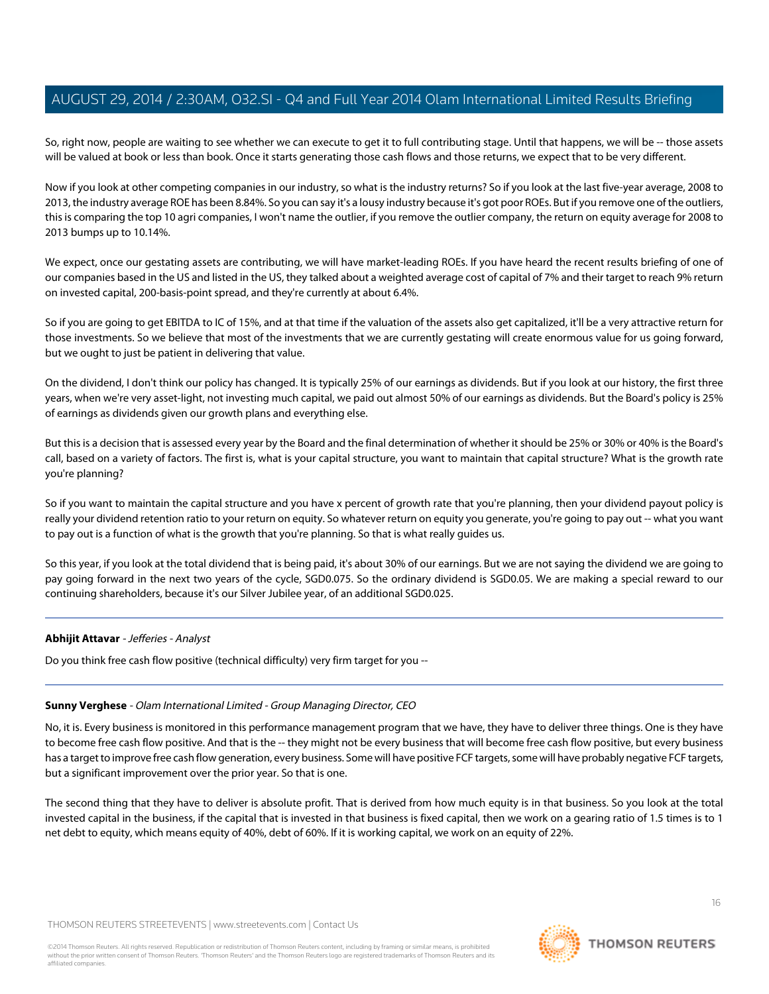So, right now, people are waiting to see whether we can execute to get it to full contributing stage. Until that happens, we will be -- those assets will be valued at book or less than book. Once it starts generating those cash flows and those returns, we expect that to be very different.

Now if you look at other competing companies in our industry, so what is the industry returns? So if you look at the last five-year average, 2008 to 2013, the industry average ROE has been 8.84%. So you can say it's a lousy industry because it's got poor ROEs. But if you remove one of the outliers, this is comparing the top 10 agri companies, I won't name the outlier, if you remove the outlier company, the return on equity average for 2008 to 2013 bumps up to 10.14%.

We expect, once our gestating assets are contributing, we will have market-leading ROEs. If you have heard the recent results briefing of one of our companies based in the US and listed in the US, they talked about a weighted average cost of capital of 7% and their target to reach 9% return on invested capital, 200-basis-point spread, and they're currently at about 6.4%.

So if you are going to get EBITDA to IC of 15%, and at that time if the valuation of the assets also get capitalized, it'll be a very attractive return for those investments. So we believe that most of the investments that we are currently gestating will create enormous value for us going forward, but we ought to just be patient in delivering that value.

On the dividend, I don't think our policy has changed. It is typically 25% of our earnings as dividends. But if you look at our history, the first three years, when we're very asset-light, not investing much capital, we paid out almost 50% of our earnings as dividends. But the Board's policy is 25% of earnings as dividends given our growth plans and everything else.

But this is a decision that is assessed every year by the Board and the final determination of whether it should be 25% or 30% or 40% is the Board's call, based on a variety of factors. The first is, what is your capital structure, you want to maintain that capital structure? What is the growth rate you're planning?

So if you want to maintain the capital structure and you have x percent of growth rate that you're planning, then your dividend payout policy is really your dividend retention ratio to your return on equity. So whatever return on equity you generate, you're going to pay out -- what you want to pay out is a function of what is the growth that you're planning. So that is what really guides us.

So this year, if you look at the total dividend that is being paid, it's about 30% of our earnings. But we are not saying the dividend we are going to pay going forward in the next two years of the cycle, SGD0.075. So the ordinary dividend is SGD0.05. We are making a special reward to our continuing shareholders, because it's our Silver Jubilee year, of an additional SGD0.025.

# **Abhijit Attavar** - Jefferies - Analyst

Do you think free cash flow positive (technical difficulty) very firm target for you --

# **Sunny Verghese** - Olam International Limited - Group Managing Director, CEO

No, it is. Every business is monitored in this performance management program that we have, they have to deliver three things. One is they have to become free cash flow positive. And that is the -- they might not be every business that will become free cash flow positive, but every business has a target to improve free cash flow generation, every business. Some will have positive FCF targets, some will have probably negative FCF targets, but a significant improvement over the prior year. So that is one.

The second thing that they have to deliver is absolute profit. That is derived from how much equity is in that business. So you look at the total invested capital in the business, if the capital that is invested in that business is fixed capital, then we work on a gearing ratio of 1.5 times is to 1 net debt to equity, which means equity of 40%, debt of 60%. If it is working capital, we work on an equity of 22%.

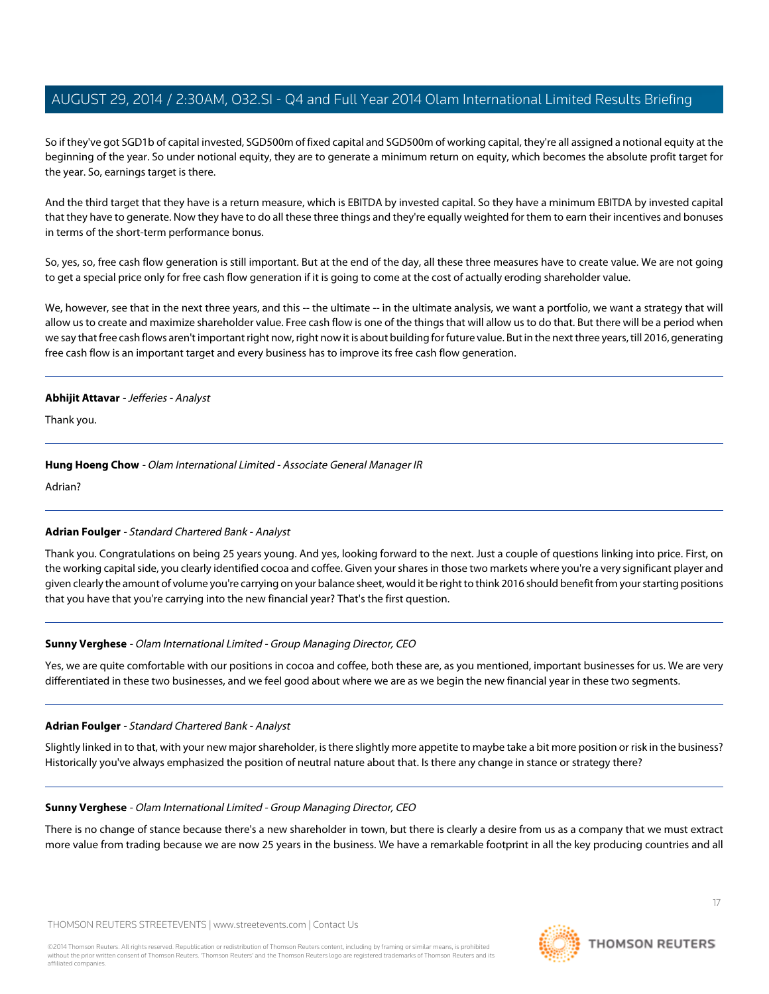So if they've got SGD1b of capital invested, SGD500m of fixed capital and SGD500m of working capital, they're all assigned a notional equity at the beginning of the year. So under notional equity, they are to generate a minimum return on equity, which becomes the absolute profit target for the year. So, earnings target is there.

And the third target that they have is a return measure, which is EBITDA by invested capital. So they have a minimum EBITDA by invested capital that they have to generate. Now they have to do all these three things and they're equally weighted for them to earn their incentives and bonuses in terms of the short-term performance bonus.

So, yes, so, free cash flow generation is still important. But at the end of the day, all these three measures have to create value. We are not going to get a special price only for free cash flow generation if it is going to come at the cost of actually eroding shareholder value.

We, however, see that in the next three years, and this -- the ultimate -- in the ultimate analysis, we want a portfolio, we want a strategy that will allow us to create and maximize shareholder value. Free cash flow is one of the things that will allow us to do that. But there will be a period when we say that free cash flows aren't important right now, right now it is about building for future value. But in the next three years, till 2016, generating free cash flow is an important target and every business has to improve its free cash flow generation.

#### **Abhijit Attavar** - Jefferies - Analyst

Thank you.

# **Hung Hoeng Chow** - Olam International Limited - Associate General Manager IR

<span id="page-16-0"></span>Adrian?

# **Adrian Foulger** - Standard Chartered Bank - Analyst

Thank you. Congratulations on being 25 years young. And yes, looking forward to the next. Just a couple of questions linking into price. First, on the working capital side, you clearly identified cocoa and coffee. Given your shares in those two markets where you're a very significant player and given clearly the amount of volume you're carrying on your balance sheet, would it be right to think 2016 should benefit from your starting positions that you have that you're carrying into the new financial year? That's the first question.

# **Sunny Verghese** - Olam International Limited - Group Managing Director, CEO

Yes, we are quite comfortable with our positions in cocoa and coffee, both these are, as you mentioned, important businesses for us. We are very differentiated in these two businesses, and we feel good about where we are as we begin the new financial year in these two segments.

# **Adrian Foulger** - Standard Chartered Bank - Analyst

Slightly linked in to that, with your new major shareholder, is there slightly more appetite to maybe take a bit more position or risk in the business? Historically you've always emphasized the position of neutral nature about that. Is there any change in stance or strategy there?

# **Sunny Verghese** - Olam International Limited - Group Managing Director, CEO

There is no change of stance because there's a new shareholder in town, but there is clearly a desire from us as a company that we must extract more value from trading because we are now 25 years in the business. We have a remarkable footprint in all the key producing countries and all

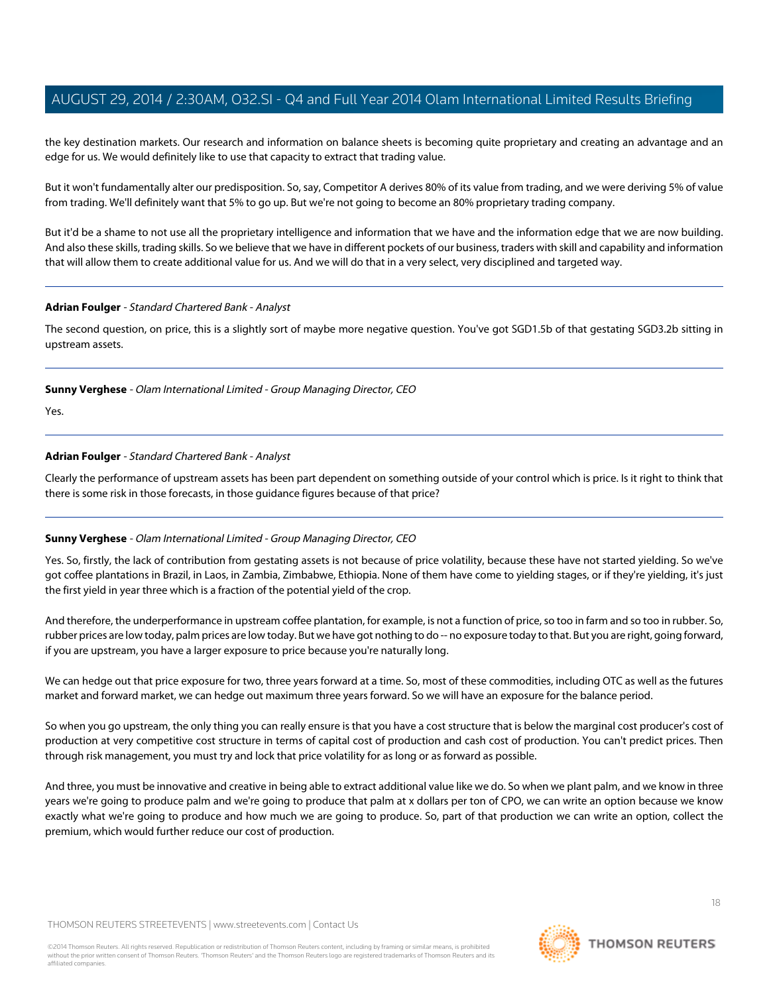the key destination markets. Our research and information on balance sheets is becoming quite proprietary and creating an advantage and an edge for us. We would definitely like to use that capacity to extract that trading value.

But it won't fundamentally alter our predisposition. So, say, Competitor A derives 80% of its value from trading, and we were deriving 5% of value from trading. We'll definitely want that 5% to go up. But we're not going to become an 80% proprietary trading company.

But it'd be a shame to not use all the proprietary intelligence and information that we have and the information edge that we are now building. And also these skills, trading skills. So we believe that we have in different pockets of our business, traders with skill and capability and information that will allow them to create additional value for us. And we will do that in a very select, very disciplined and targeted way.

#### **Adrian Foulger** - Standard Chartered Bank - Analyst

The second question, on price, this is a slightly sort of maybe more negative question. You've got SGD1.5b of that gestating SGD3.2b sitting in upstream assets.

**Sunny Verghese** - Olam International Limited - Group Managing Director, CEO

Yes.

# **Adrian Foulger** - Standard Chartered Bank - Analyst

Clearly the performance of upstream assets has been part dependent on something outside of your control which is price. Is it right to think that there is some risk in those forecasts, in those guidance figures because of that price?

# **Sunny Verghese** - Olam International Limited - Group Managing Director, CEO

Yes. So, firstly, the lack of contribution from gestating assets is not because of price volatility, because these have not started yielding. So we've got coffee plantations in Brazil, in Laos, in Zambia, Zimbabwe, Ethiopia. None of them have come to yielding stages, or if they're yielding, it's just the first yield in year three which is a fraction of the potential yield of the crop.

And therefore, the underperformance in upstream coffee plantation, for example, is not a function of price, so too in farm and so too in rubber. So, rubber prices are low today, palm prices are low today. But we have got nothing to do -- no exposure today to that. But you are right, going forward, if you are upstream, you have a larger exposure to price because you're naturally long.

We can hedge out that price exposure for two, three years forward at a time. So, most of these commodities, including OTC as well as the futures market and forward market, we can hedge out maximum three years forward. So we will have an exposure for the balance period.

So when you go upstream, the only thing you can really ensure is that you have a cost structure that is below the marginal cost producer's cost of production at very competitive cost structure in terms of capital cost of production and cash cost of production. You can't predict prices. Then through risk management, you must try and lock that price volatility for as long or as forward as possible.

And three, you must be innovative and creative in being able to extract additional value like we do. So when we plant palm, and we know in three years we're going to produce palm and we're going to produce that palm at x dollars per ton of CPO, we can write an option because we know exactly what we're going to produce and how much we are going to produce. So, part of that production we can write an option, collect the premium, which would further reduce our cost of production.

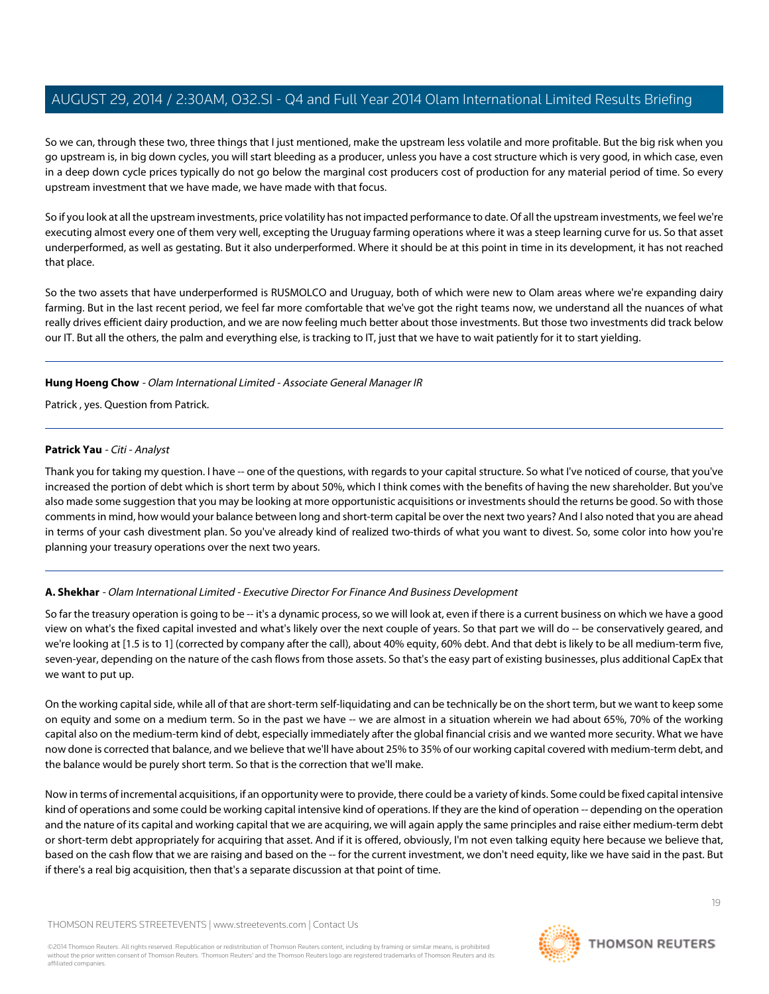So we can, through these two, three things that I just mentioned, make the upstream less volatile and more profitable. But the big risk when you go upstream is, in big down cycles, you will start bleeding as a producer, unless you have a cost structure which is very good, in which case, even in a deep down cycle prices typically do not go below the marginal cost producers cost of production for any material period of time. So every upstream investment that we have made, we have made with that focus.

So if you look at all the upstream investments, price volatility has not impacted performance to date. Of all the upstream investments, we feel we're executing almost every one of them very well, excepting the Uruguay farming operations where it was a steep learning curve for us. So that asset underperformed, as well as gestating. But it also underperformed. Where it should be at this point in time in its development, it has not reached that place.

So the two assets that have underperformed is RUSMOLCO and Uruguay, both of which were new to Olam areas where we're expanding dairy farming. But in the last recent period, we feel far more comfortable that we've got the right teams now, we understand all the nuances of what really drives efficient dairy production, and we are now feeling much better about those investments. But those two investments did track below our IT. But all the others, the palm and everything else, is tracking to IT, just that we have to wait patiently for it to start yielding.

### **Hung Hoeng Chow** - Olam International Limited - Associate General Manager IR

<span id="page-18-0"></span>Patrick , yes. Question from Patrick.

### **Patrick Yau** - Citi - Analyst

Thank you for taking my question. I have -- one of the questions, with regards to your capital structure. So what I've noticed of course, that you've increased the portion of debt which is short term by about 50%, which I think comes with the benefits of having the new shareholder. But you've also made some suggestion that you may be looking at more opportunistic acquisitions or investments should the returns be good. So with those comments in mind, how would your balance between long and short-term capital be over the next two years? And I also noted that you are ahead in terms of your cash divestment plan. So you've already kind of realized two-thirds of what you want to divest. So, some color into how you're planning your treasury operations over the next two years.

# **A. Shekhar** - Olam International Limited - Executive Director For Finance And Business Development

So far the treasury operation is going to be -- it's a dynamic process, so we will look at, even if there is a current business on which we have a good view on what's the fixed capital invested and what's likely over the next couple of years. So that part we will do -- be conservatively geared, and we're looking at [1.5 is to 1] (corrected by company after the call), about 40% equity, 60% debt. And that debt is likely to be all medium-term five, seven-year, depending on the nature of the cash flows from those assets. So that's the easy part of existing businesses, plus additional CapEx that we want to put up.

On the working capital side, while all of that are short-term self-liquidating and can be technically be on the short term, but we want to keep some on equity and some on a medium term. So in the past we have -- we are almost in a situation wherein we had about 65%, 70% of the working capital also on the medium-term kind of debt, especially immediately after the global financial crisis and we wanted more security. What we have now done is corrected that balance, and we believe that we'll have about 25% to 35% of our working capital covered with medium-term debt, and the balance would be purely short term. So that is the correction that we'll make.

Now in terms of incremental acquisitions, if an opportunity were to provide, there could be a variety of kinds. Some could be fixed capital intensive kind of operations and some could be working capital intensive kind of operations. If they are the kind of operation -- depending on the operation and the nature of its capital and working capital that we are acquiring, we will again apply the same principles and raise either medium-term debt or short-term debt appropriately for acquiring that asset. And if it is offered, obviously, I'm not even talking equity here because we believe that, based on the cash flow that we are raising and based on the -- for the current investment, we don't need equity, like we have said in the past. But if there's a real big acquisition, then that's a separate discussion at that point of time.

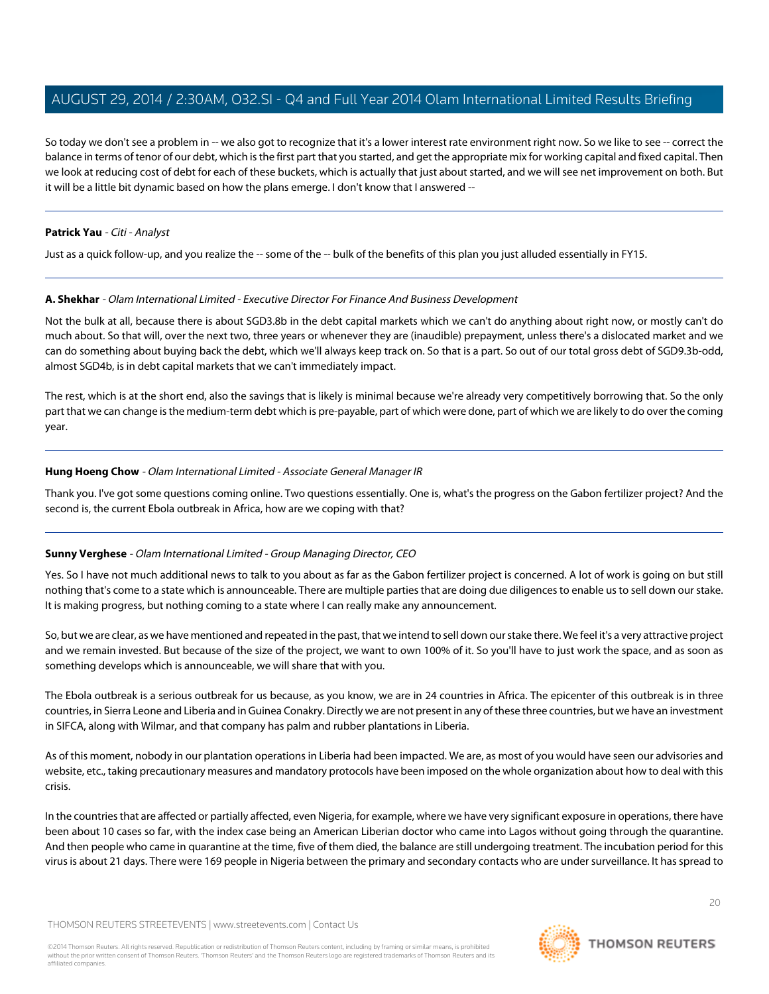So today we don't see a problem in -- we also got to recognize that it's a lower interest rate environment right now. So we like to see -- correct the balance in terms of tenor of our debt, which is the first part that you started, and get the appropriate mix for working capital and fixed capital. Then we look at reducing cost of debt for each of these buckets, which is actually that just about started, and we will see net improvement on both. But it will be a little bit dynamic based on how the plans emerge. I don't know that I answered --

### **Patrick Yau** - Citi - Analyst

Just as a quick follow-up, and you realize the -- some of the -- bulk of the benefits of this plan you just alluded essentially in FY15.

### **A. Shekhar** - Olam International Limited - Executive Director For Finance And Business Development

Not the bulk at all, because there is about SGD3.8b in the debt capital markets which we can't do anything about right now, or mostly can't do much about. So that will, over the next two, three years or whenever they are (inaudible) prepayment, unless there's a dislocated market and we can do something about buying back the debt, which we'll always keep track on. So that is a part. So out of our total gross debt of SGD9.3b-odd, almost SGD4b, is in debt capital markets that we can't immediately impact.

The rest, which is at the short end, also the savings that is likely is minimal because we're already very competitively borrowing that. So the only part that we can change is the medium-term debt which is pre-payable, part of which were done, part of which we are likely to do over the coming year.

### **Hung Hoeng Chow** - Olam International Limited - Associate General Manager IR

Thank you. I've got some questions coming online. Two questions essentially. One is, what's the progress on the Gabon fertilizer project? And the second is, the current Ebola outbreak in Africa, how are we coping with that?

# **Sunny Verghese** - Olam International Limited - Group Managing Director, CEO

Yes. So I have not much additional news to talk to you about as far as the Gabon fertilizer project is concerned. A lot of work is going on but still nothing that's come to a state which is announceable. There are multiple parties that are doing due diligences to enable us to sell down our stake. It is making progress, but nothing coming to a state where I can really make any announcement.

So, but we are clear, as we have mentioned and repeated in the past, that we intend to sell down our stake there. We feel it's a very attractive project and we remain invested. But because of the size of the project, we want to own 100% of it. So you'll have to just work the space, and as soon as something develops which is announceable, we will share that with you.

The Ebola outbreak is a serious outbreak for us because, as you know, we are in 24 countries in Africa. The epicenter of this outbreak is in three countries, in Sierra Leone and Liberia and in Guinea Conakry. Directly we are not present in any of these three countries, but we have an investment in SIFCA, along with Wilmar, and that company has palm and rubber plantations in Liberia.

As of this moment, nobody in our plantation operations in Liberia had been impacted. We are, as most of you would have seen our advisories and website, etc., taking precautionary measures and mandatory protocols have been imposed on the whole organization about how to deal with this crisis.

In the countries that are affected or partially affected, even Nigeria, for example, where we have very significant exposure in operations, there have been about 10 cases so far, with the index case being an American Liberian doctor who came into Lagos without going through the quarantine. And then people who came in quarantine at the time, five of them died, the balance are still undergoing treatment. The incubation period for this virus is about 21 days. There were 169 people in Nigeria between the primary and secondary contacts who are under surveillance. It has spread to

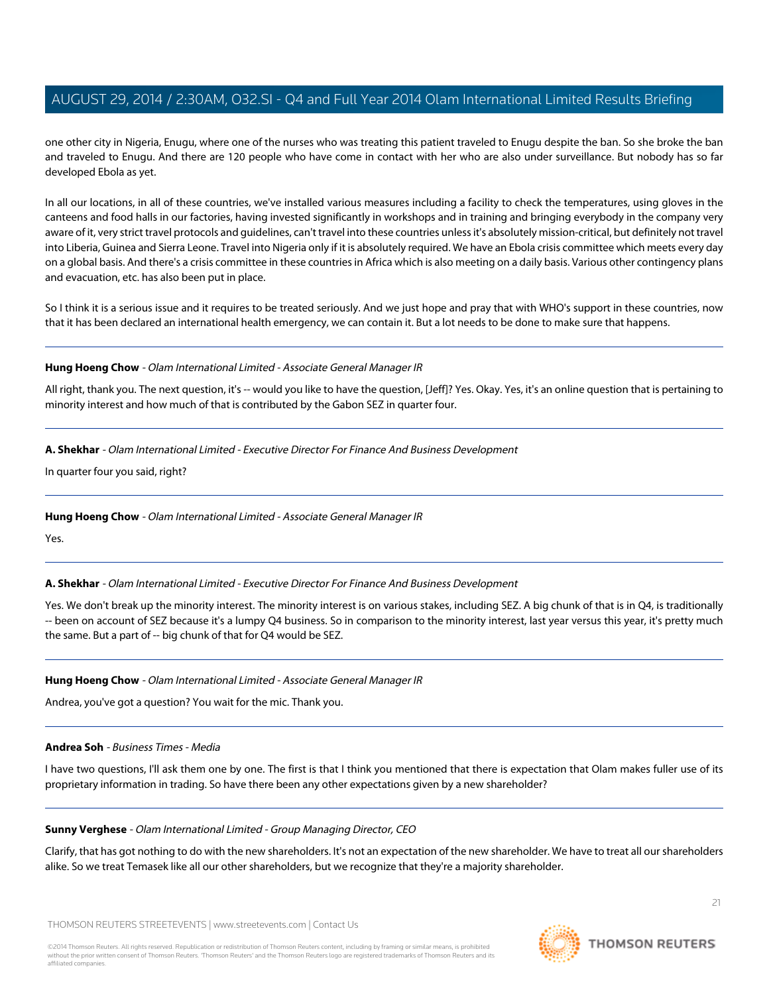one other city in Nigeria, Enugu, where one of the nurses who was treating this patient traveled to Enugu despite the ban. So she broke the ban and traveled to Enugu. And there are 120 people who have come in contact with her who are also under surveillance. But nobody has so far developed Ebola as yet.

In all our locations, in all of these countries, we've installed various measures including a facility to check the temperatures, using gloves in the canteens and food halls in our factories, having invested significantly in workshops and in training and bringing everybody in the company very aware of it, very strict travel protocols and guidelines, can't travel into these countries unless it's absolutely mission-critical, but definitely not travel into Liberia, Guinea and Sierra Leone. Travel into Nigeria only if it is absolutely required. We have an Ebola crisis committee which meets every day on a global basis. And there's a crisis committee in these countries in Africa which is also meeting on a daily basis. Various other contingency plans and evacuation, etc. has also been put in place.

So I think it is a serious issue and it requires to be treated seriously. And we just hope and pray that with WHO's support in these countries, now that it has been declared an international health emergency, we can contain it. But a lot needs to be done to make sure that happens.

#### **Hung Hoeng Chow** - Olam International Limited - Associate General Manager IR

All right, thank you. The next question, it's -- would you like to have the question, [Jeff]? Yes. Okay. Yes, it's an online question that is pertaining to minority interest and how much of that is contributed by the Gabon SEZ in quarter four.

# **A. Shekhar** - Olam International Limited - Executive Director For Finance And Business Development

In quarter four you said, right?

# **Hung Hoeng Chow** - Olam International Limited - Associate General Manager IR

Yes.

# **A. Shekhar** - Olam International Limited - Executive Director For Finance And Business Development

Yes. We don't break up the minority interest. The minority interest is on various stakes, including SEZ. A big chunk of that is in Q4, is traditionally -- been on account of SEZ because it's a lumpy Q4 business. So in comparison to the minority interest, last year versus this year, it's pretty much the same. But a part of -- big chunk of that for Q4 would be SEZ.

# <span id="page-20-0"></span>**Hung Hoeng Chow** - Olam International Limited - Associate General Manager IR

Andrea, you've got a question? You wait for the mic. Thank you.

#### **Andrea Soh** - Business Times - Media

I have two questions, I'll ask them one by one. The first is that I think you mentioned that there is expectation that Olam makes fuller use of its proprietary information in trading. So have there been any other expectations given by a new shareholder?

#### **Sunny Verghese** - Olam International Limited - Group Managing Director, CEO

Clarify, that has got nothing to do with the new shareholders. It's not an expectation of the new shareholder. We have to treat all our shareholders alike. So we treat Temasek like all our other shareholders, but we recognize that they're a majority shareholder.

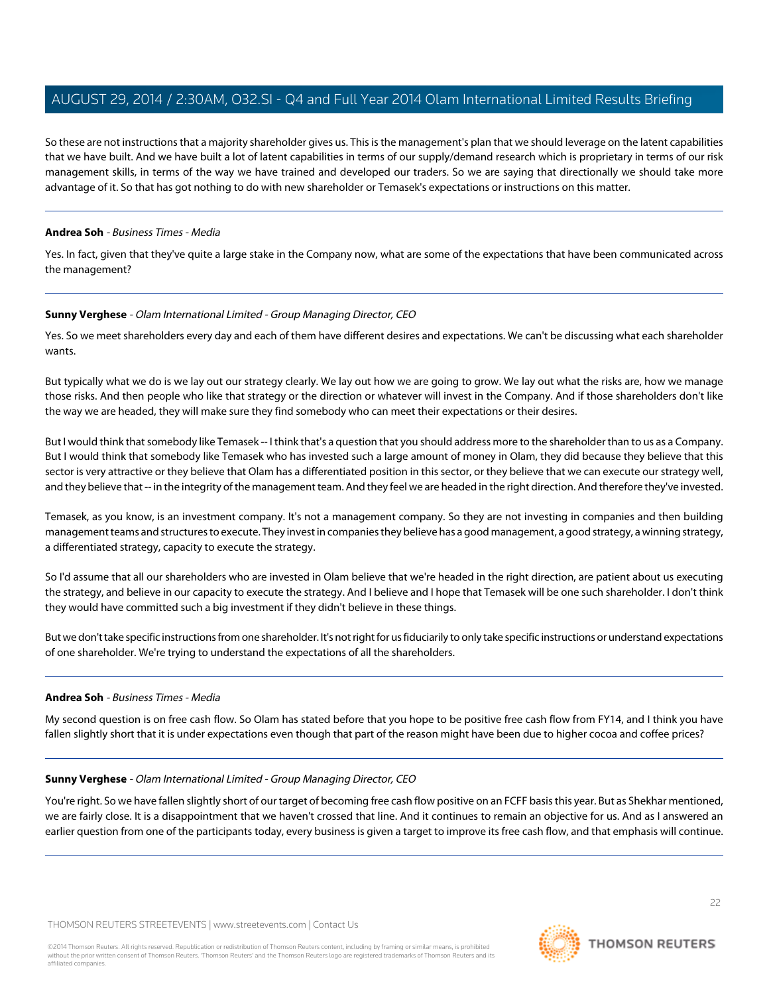So these are not instructions that a majority shareholder gives us. This is the management's plan that we should leverage on the latent capabilities that we have built. And we have built a lot of latent capabilities in terms of our supply/demand research which is proprietary in terms of our risk management skills, in terms of the way we have trained and developed our traders. So we are saying that directionally we should take more advantage of it. So that has got nothing to do with new shareholder or Temasek's expectations or instructions on this matter.

### **Andrea Soh** - Business Times - Media

Yes. In fact, given that they've quite a large stake in the Company now, what are some of the expectations that have been communicated across the management?

### **Sunny Verghese** - Olam International Limited - Group Managing Director, CEO

Yes. So we meet shareholders every day and each of them have different desires and expectations. We can't be discussing what each shareholder wants.

But typically what we do is we lay out our strategy clearly. We lay out how we are going to grow. We lay out what the risks are, how we manage those risks. And then people who like that strategy or the direction or whatever will invest in the Company. And if those shareholders don't like the way we are headed, they will make sure they find somebody who can meet their expectations or their desires.

But I would think that somebody like Temasek -- I think that's a question that you should address more to the shareholder than to us as a Company. But I would think that somebody like Temasek who has invested such a large amount of money in Olam, they did because they believe that this sector is very attractive or they believe that Olam has a differentiated position in this sector, or they believe that we can execute our strategy well, and they believe that -- in the integrity of the management team. And they feel we are headed in the right direction. And therefore they've invested.

Temasek, as you know, is an investment company. It's not a management company. So they are not investing in companies and then building management teams and structures to execute. They invest in companies they believe has a good management, a good strategy, a winning strategy, a differentiated strategy, capacity to execute the strategy.

So I'd assume that all our shareholders who are invested in Olam believe that we're headed in the right direction, are patient about us executing the strategy, and believe in our capacity to execute the strategy. And I believe and I hope that Temasek will be one such shareholder. I don't think they would have committed such a big investment if they didn't believe in these things.

But we don't take specific instructions from one shareholder. It's not right for us fiduciarily to only take specific instructions or understand expectations of one shareholder. We're trying to understand the expectations of all the shareholders.

# **Andrea Soh** - Business Times - Media

My second question is on free cash flow. So Olam has stated before that you hope to be positive free cash flow from FY14, and I think you have fallen slightly short that it is under expectations even though that part of the reason might have been due to higher cocoa and coffee prices?

# **Sunny Verghese** - Olam International Limited - Group Managing Director, CEO

You're right. So we have fallen slightly short of our target of becoming free cash flow positive on an FCFF basis this year. But as Shekhar mentioned, we are fairly close. It is a disappointment that we haven't crossed that line. And it continues to remain an objective for us. And as I answered an earlier question from one of the participants today, every business is given a target to improve its free cash flow, and that emphasis will continue.

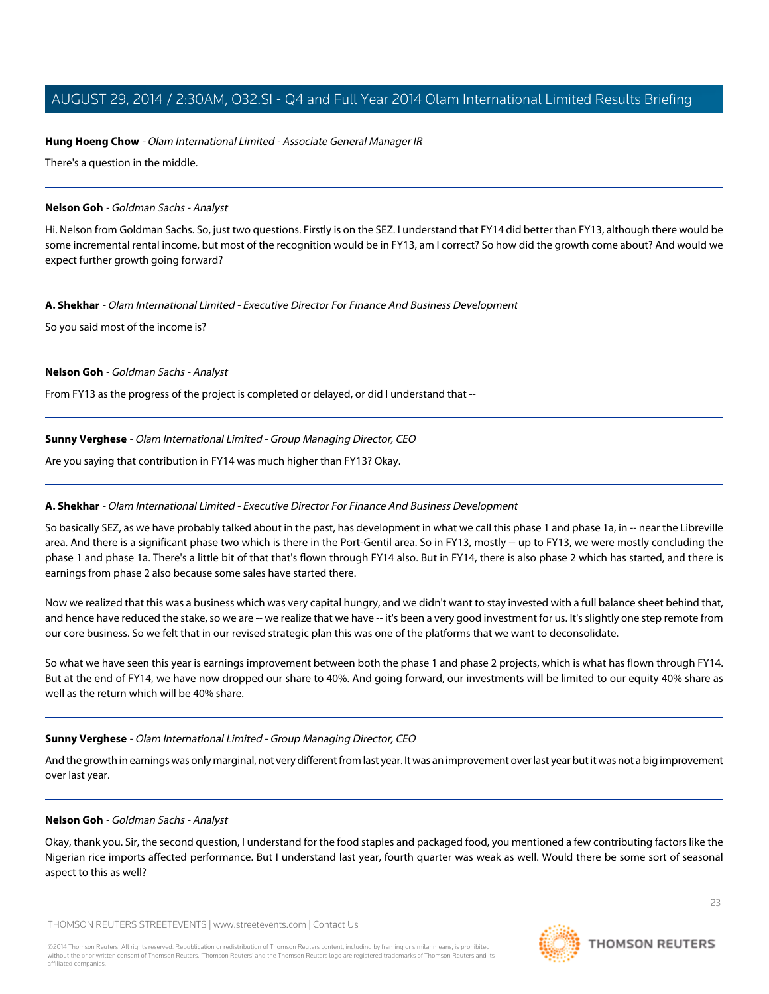### **Hung Hoeng Chow** - Olam International Limited - Associate General Manager IR

There's a question in the middle.

#### <span id="page-22-0"></span>**Nelson Goh** - Goldman Sachs - Analyst

Hi. Nelson from Goldman Sachs. So, just two questions. Firstly is on the SEZ. I understand that FY14 did better than FY13, although there would be some incremental rental income, but most of the recognition would be in FY13, am I correct? So how did the growth come about? And would we expect further growth going forward?

### **A. Shekhar** - Olam International Limited - Executive Director For Finance And Business Development

So you said most of the income is?

#### **Nelson Goh** - Goldman Sachs - Analyst

From FY13 as the progress of the project is completed or delayed, or did I understand that --

### **Sunny Verghese** - Olam International Limited - Group Managing Director, CEO

Are you saying that contribution in FY14 was much higher than FY13? Okay.

# **A. Shekhar** - Olam International Limited - Executive Director For Finance And Business Development

So basically SEZ, as we have probably talked about in the past, has development in what we call this phase 1 and phase 1a, in -- near the Libreville area. And there is a significant phase two which is there in the Port-Gentil area. So in FY13, mostly -- up to FY13, we were mostly concluding the phase 1 and phase 1a. There's a little bit of that that's flown through FY14 also. But in FY14, there is also phase 2 which has started, and there is earnings from phase 2 also because some sales have started there.

Now we realized that this was a business which was very capital hungry, and we didn't want to stay invested with a full balance sheet behind that, and hence have reduced the stake, so we are -- we realize that we have -- it's been a very good investment for us. It's slightly one step remote from our core business. So we felt that in our revised strategic plan this was one of the platforms that we want to deconsolidate.

So what we have seen this year is earnings improvement between both the phase 1 and phase 2 projects, which is what has flown through FY14. But at the end of FY14, we have now dropped our share to 40%. And going forward, our investments will be limited to our equity 40% share as well as the return which will be 40% share.

# **Sunny Verghese** - Olam International Limited - Group Managing Director, CEO

And the growth in earnings was only marginal, not very different from last year. It was an improvement over last year but it was not a big improvement over last year.

#### **Nelson Goh** - Goldman Sachs - Analyst

Okay, thank you. Sir, the second question, I understand for the food staples and packaged food, you mentioned a few contributing factors like the Nigerian rice imports affected performance. But I understand last year, fourth quarter was weak as well. Would there be some sort of seasonal aspect to this as well?

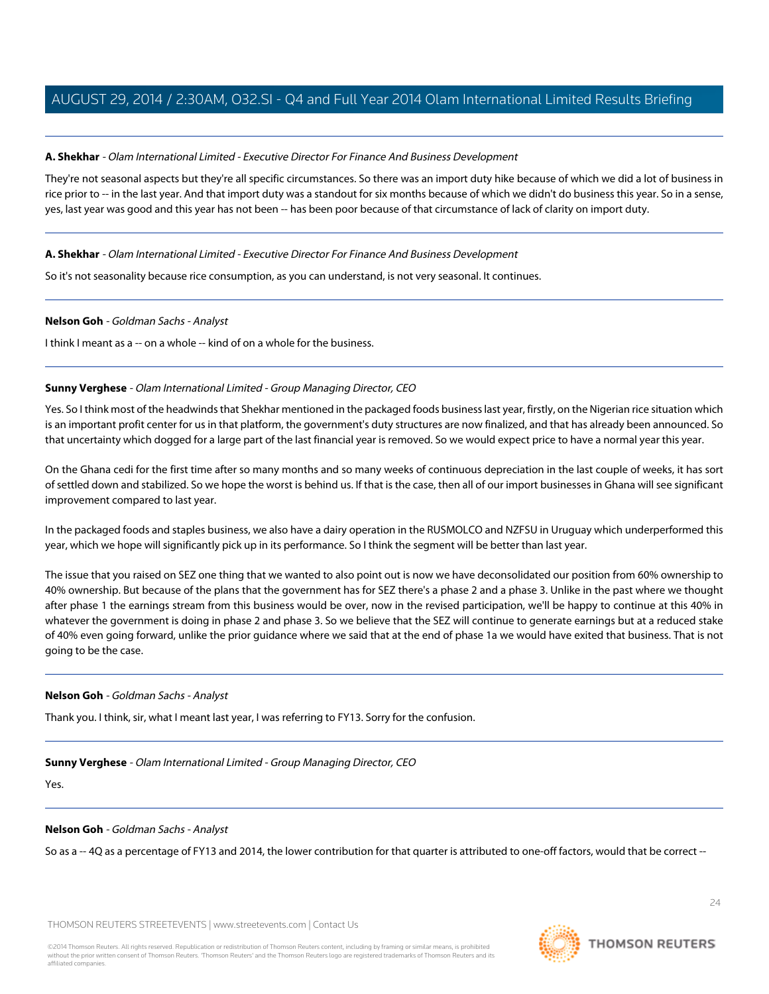#### **A. Shekhar** - Olam International Limited - Executive Director For Finance And Business Development

They're not seasonal aspects but they're all specific circumstances. So there was an import duty hike because of which we did a lot of business in rice prior to -- in the last year. And that import duty was a standout for six months because of which we didn't do business this year. So in a sense, yes, last year was good and this year has not been -- has been poor because of that circumstance of lack of clarity on import duty.

#### **A. Shekhar** - Olam International Limited - Executive Director For Finance And Business Development

So it's not seasonality because rice consumption, as you can understand, is not very seasonal. It continues.

#### **Nelson Goh** - Goldman Sachs - Analyst

I think I meant as a -- on a whole -- kind of on a whole for the business.

#### **Sunny Verghese** - Olam International Limited - Group Managing Director, CEO

Yes. So I think most of the headwinds that Shekhar mentioned in the packaged foods business last year, firstly, on the Nigerian rice situation which is an important profit center for us in that platform, the government's duty structures are now finalized, and that has already been announced. So that uncertainty which dogged for a large part of the last financial year is removed. So we would expect price to have a normal year this year.

On the Ghana cedi for the first time after so many months and so many weeks of continuous depreciation in the last couple of weeks, it has sort of settled down and stabilized. So we hope the worst is behind us. If that is the case, then all of our import businesses in Ghana will see significant improvement compared to last year.

In the packaged foods and staples business, we also have a dairy operation in the RUSMOLCO and NZFSU in Uruguay which underperformed this year, which we hope will significantly pick up in its performance. So I think the segment will be better than last year.

The issue that you raised on SEZ one thing that we wanted to also point out is now we have deconsolidated our position from 60% ownership to 40% ownership. But because of the plans that the government has for SEZ there's a phase 2 and a phase 3. Unlike in the past where we thought after phase 1 the earnings stream from this business would be over, now in the revised participation, we'll be happy to continue at this 40% in whatever the government is doing in phase 2 and phase 3. So we believe that the SEZ will continue to generate earnings but at a reduced stake of 40% even going forward, unlike the prior guidance where we said that at the end of phase 1a we would have exited that business. That is not going to be the case.

#### **Nelson Goh** - Goldman Sachs - Analyst

Thank you. I think, sir, what I meant last year, I was referring to FY13. Sorry for the confusion.

#### **Sunny Verghese** - Olam International Limited - Group Managing Director, CEO

Yes.

#### **Nelson Goh** - Goldman Sachs - Analyst

So as a -- 4Q as a percentage of FY13 and 2014, the lower contribution for that quarter is attributed to one-off factors, would that be correct --

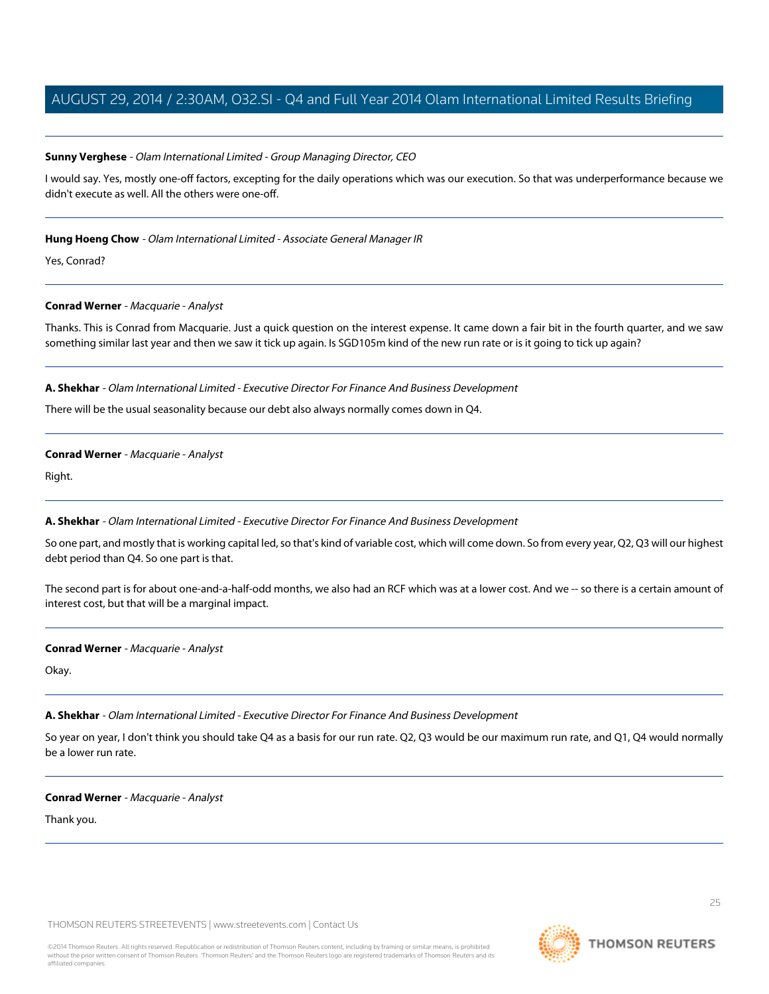### **Sunny Verghese** - Olam International Limited - Group Managing Director, CEO

I would say. Yes, mostly one-off factors, excepting for the daily operations which was our execution. So that was underperformance because we didn't execute as well. All the others were one-off.

### **Hung Hoeng Chow** - Olam International Limited - Associate General Manager IR

<span id="page-24-0"></span>Yes, Conrad?

### **Conrad Werner** - Macquarie - Analyst

Thanks. This is Conrad from Macquarie. Just a quick question on the interest expense. It came down a fair bit in the fourth quarter, and we saw something similar last year and then we saw it tick up again. Is SGD105m kind of the new run rate or is it going to tick up again?

### **A. Shekhar** - Olam International Limited - Executive Director For Finance And Business Development

There will be the usual seasonality because our debt also always normally comes down in Q4.

### **Conrad Werner** - Macquarie - Analyst

Right.

# **A. Shekhar** - Olam International Limited - Executive Director For Finance And Business Development

So one part, and mostly that is working capital led, so that's kind of variable cost, which will come down. So from every year, Q2, Q3 will our highest debt period than Q4. So one part is that.

The second part is for about one-and-a-half-odd months, we also had an RCF which was at a lower cost. And we -- so there is a certain amount of interest cost, but that will be a marginal impact.

# **Conrad Werner** - Macquarie - Analyst

Okay.

# **A. Shekhar** - Olam International Limited - Executive Director For Finance And Business Development

So year on year, I don't think you should take Q4 as a basis for our run rate. Q2, Q3 would be our maximum run rate, and Q1, Q4 would normally be a lower run rate.

#### **Conrad Werner** - Macquarie - Analyst

Thank you.

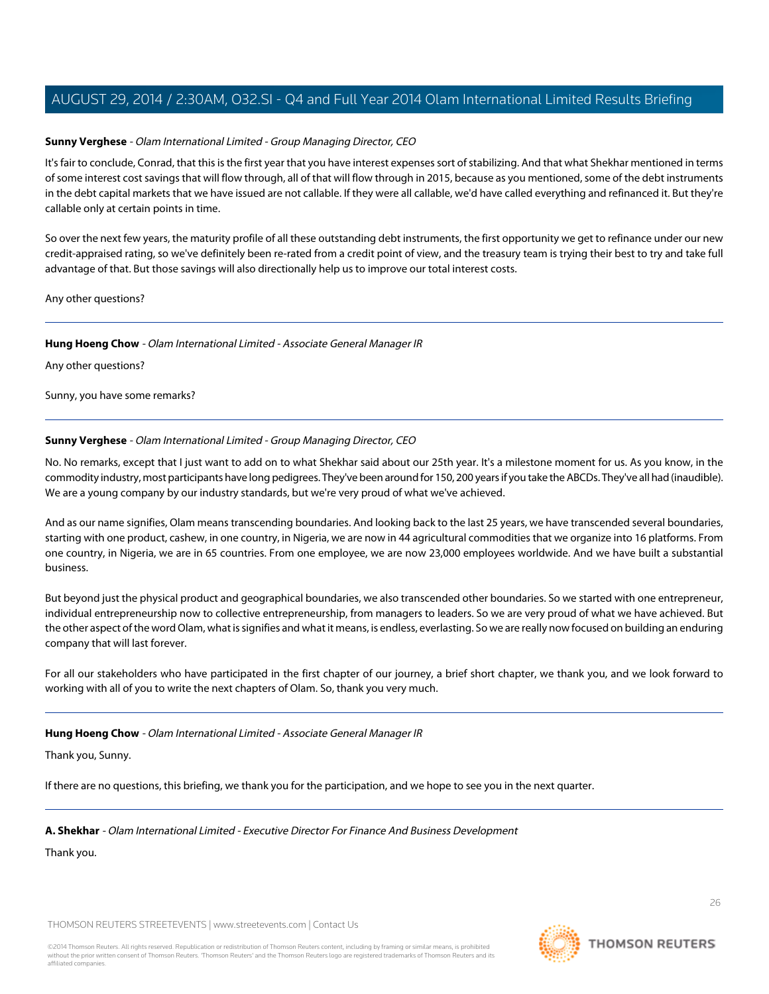### **Sunny Verghese** - Olam International Limited - Group Managing Director, CEO

It's fair to conclude, Conrad, that this is the first year that you have interest expenses sort of stabilizing. And that what Shekhar mentioned in terms of some interest cost savings that will flow through, all of that will flow through in 2015, because as you mentioned, some of the debt instruments in the debt capital markets that we have issued are not callable. If they were all callable, we'd have called everything and refinanced it. But they're callable only at certain points in time.

So over the next few years, the maturity profile of all these outstanding debt instruments, the first opportunity we get to refinance under our new credit-appraised rating, so we've definitely been re-rated from a credit point of view, and the treasury team is trying their best to try and take full advantage of that. But those savings will also directionally help us to improve our total interest costs.

Any other questions?

#### **Hung Hoeng Chow** - Olam International Limited - Associate General Manager IR

Any other questions?

Sunny, you have some remarks?

### **Sunny Verghese** - Olam International Limited - Group Managing Director, CEO

No. No remarks, except that I just want to add on to what Shekhar said about our 25th year. It's a milestone moment for us. As you know, in the commodity industry, most participants have long pedigrees. They've been around for 150, 200 years if you take the ABCDs. They've all had (inaudible). We are a young company by our industry standards, but we're very proud of what we've achieved.

And as our name signifies, Olam means transcending boundaries. And looking back to the last 25 years, we have transcended several boundaries, starting with one product, cashew, in one country, in Nigeria, we are now in 44 agricultural commodities that we organize into 16 platforms. From one country, in Nigeria, we are in 65 countries. From one employee, we are now 23,000 employees worldwide. And we have built a substantial business.

But beyond just the physical product and geographical boundaries, we also transcended other boundaries. So we started with one entrepreneur, individual entrepreneurship now to collective entrepreneurship, from managers to leaders. So we are very proud of what we have achieved. But the other aspect of the word Olam, what is signifies and what it means, is endless, everlasting. So we are really now focused on building an enduring company that will last forever.

For all our stakeholders who have participated in the first chapter of our journey, a brief short chapter, we thank you, and we look forward to working with all of you to write the next chapters of Olam. So, thank you very much.

#### **Hung Hoeng Chow** - Olam International Limited - Associate General Manager IR

Thank you, Sunny.

If there are no questions, this briefing, we thank you for the participation, and we hope to see you in the next quarter.

# **A. Shekhar** - Olam International Limited - Executive Director For Finance And Business Development

Thank you.



26